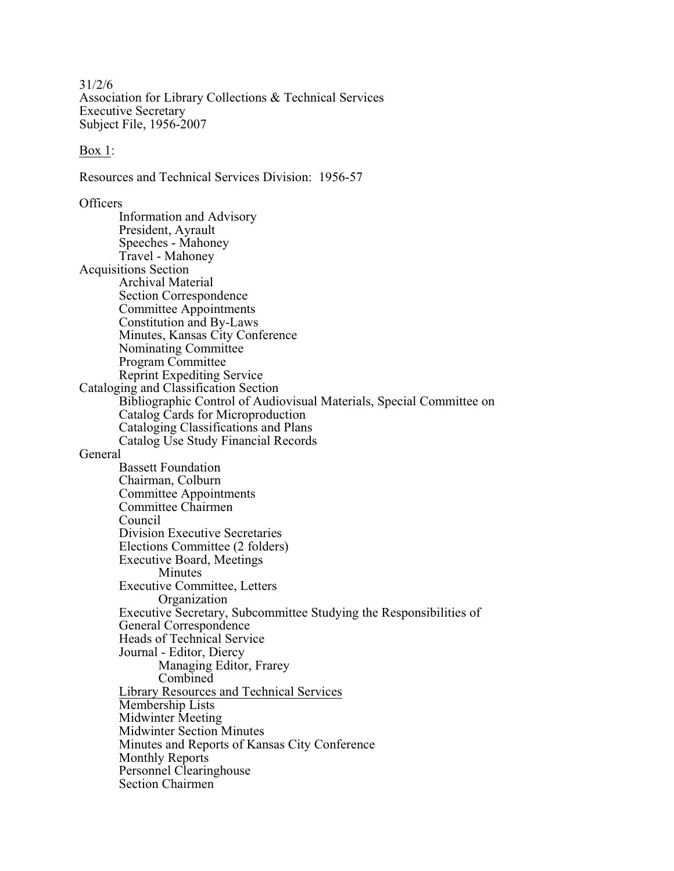31/2/6 Association for Library Collections & Technical Services Executive Secretary Subject File, 1956-2007

## Box 1:

Resources and Technical Services Division: 1956-57

**Officers** Information and Advisory President, Ayrault Speeches - Mahoney Travel - Mahoney Acquisitions Section Archival Material Section Correspondence Committee Appointments Constitution and By-Laws Minutes, Kansas City Conference Nominating Committee Program Committee Reprint Expediting Service Cataloging and Classification Section Bibliographic Control of Audiovisual Materials, Special Committee on Catalog Cards for Microproduction Cataloging Classifications and Plans Catalog Use Study Financial Records General Bassett Foundation Chairman, Colburn Committee Appointments Committee Chairmen Council Division Executive Secretaries Elections Committee (2 folders) Executive Board, Meetings Minutes Executive Committee, Letters **Organization** Executive Secretary, Subcommittee Studying the Responsibilities of General Correspondence Heads of Technical Service Journal - Editor, Diercy Managing Editor, Frarey Combined Library Resources and Technical Services Membership Lists Midwinter Meeting Midwinter Section Minutes Minutes and Reports of Kansas City Conference Monthly Reports Personnel Clearinghouse Section Chairmen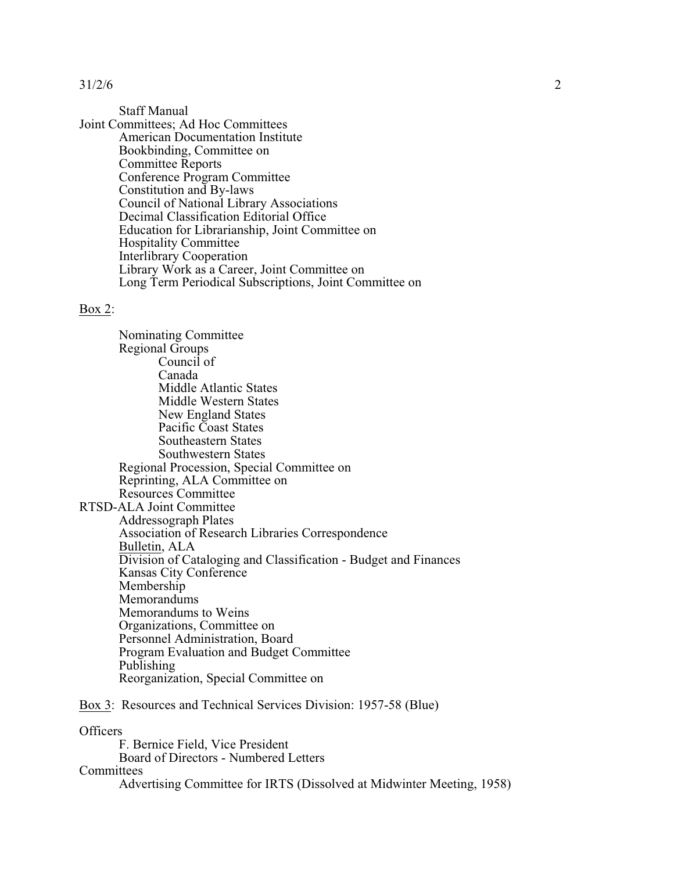Staff Manual

Joint Committees; Ad Hoc Committees American Documentation Institute Bookbinding, Committee on Committee Reports Conference Program Committee Constitution and By-laws Council of National Library Associations Decimal Classification Editorial Office Education for Librarianship, Joint Committee on Hospitality Committee Interlibrary Cooperation Library Work as a Career, Joint Committee on Long Term Periodical Subscriptions, Joint Committee on

## Box 2:

Nominating Committee Regional Groups Council of Canada Middle Atlantic States Middle Western States New England States Pacific Coast States Southeastern States Southwestern States Regional Procession, Special Committee on Reprinting, ALA Committee on Resources Committee RTSD-ALA Joint Committee Addressograph Plates Association of Research Libraries Correspondence Bulletin, ALA Division of Cataloging and Classification - Budget and Finances Kansas City Conference Membership **Memorandums** Memorandums to Weins Organizations, Committee on Personnel Administration, Board Program Evaluation and Budget Committee Publishing Reorganization, Special Committee on

## Box 3: Resources and Technical Services Division: 1957-58 (Blue)

**Officers** 

F. Bernice Field, Vice President Board of Directors - Numbered Letters **Committees** Advertising Committee for IRTS (Dissolved at Midwinter Meeting, 1958)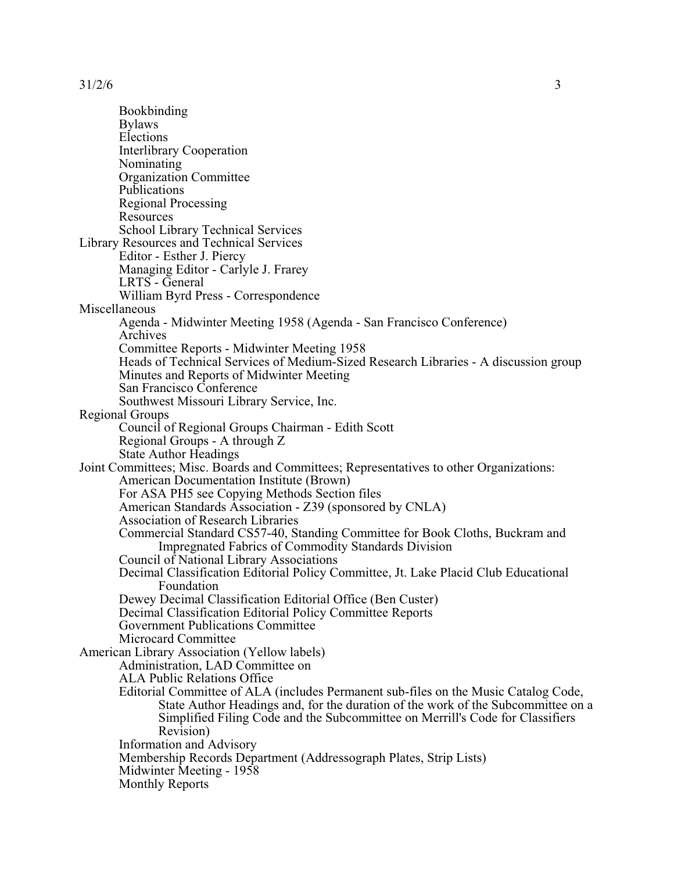Bookbinding Bylaws Elections Interlibrary Cooperation Nominating Organization Committee Publications Regional Processing **Resources** School Library Technical Services Library Resources and Technical Services Editor - Esther J. Piercy Managing Editor - Carlyle J. Frarey LRTS - General William Byrd Press - Correspondence Miscellaneous Agenda - Midwinter Meeting 1958 (Agenda - San Francisco Conference) Archives Committee Reports - Midwinter Meeting 1958 Heads of Technical Services of Medium-Sized Research Libraries - A discussion group Minutes and Reports of Midwinter Meeting San Francisco Conference Southwest Missouri Library Service, Inc. Regional Groups Council of Regional Groups Chairman - Edith Scott Regional Groups - A through Z State Author Headings Joint Committees; Misc. Boards and Committees; Representatives to other Organizations: American Documentation Institute (Brown) For ASA PH5 see Copying Methods Section files American Standards Association - Z39 (sponsored by CNLA) Association of Research Libraries Commercial Standard CS57-40, Standing Committee for Book Cloths, Buckram and Impregnated Fabrics of Commodity Standards Division Council of National Library Associations Decimal Classification Editorial Policy Committee, Jt. Lake Placid Club Educational Foundation Dewey Decimal Classification Editorial Office (Ben Custer) Decimal Classification Editorial Policy Committee Reports Government Publications Committee Microcard Committee American Library Association (Yellow labels) Administration, LAD Committee on ALA Public Relations Office Editorial Committee of ALA (includes Permanent sub-files on the Music Catalog Code, State Author Headings and, for the duration of the work of the Subcommittee on a Simplified Filing Code and the Subcommittee on Merrill's Code for Classifiers Revision) Information and Advisory Membership Records Department (Addressograph Plates, Strip Lists) Midwinter Meeting - 1958 Monthly Reports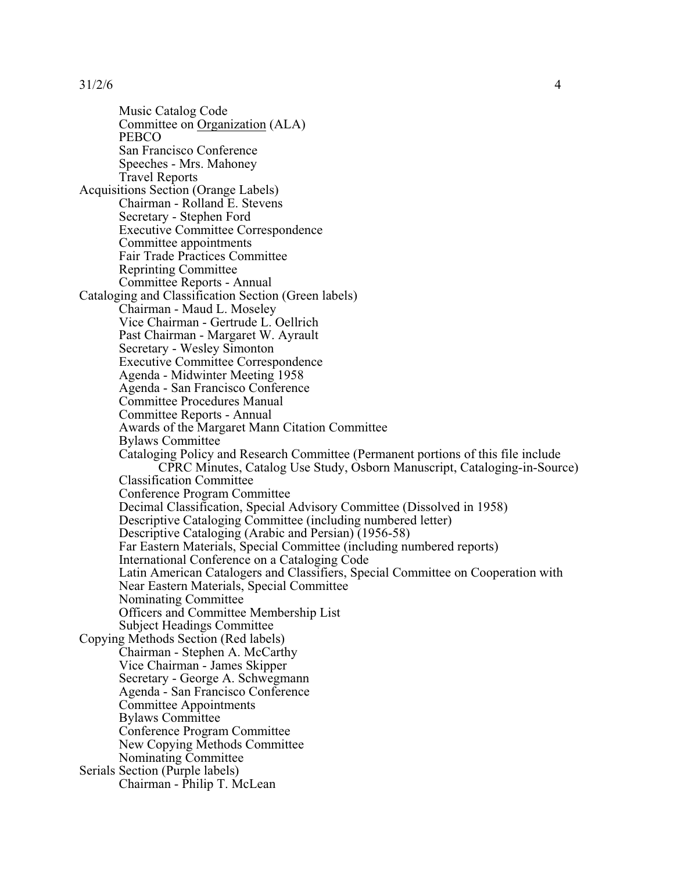Music Catalog Code Committee on Organization (ALA) **PEBCO** San Francisco Conference Speeches - Mrs. Mahoney Travel Reports Acquisitions Section (Orange Labels) Chairman - Rolland E. Stevens Secretary - Stephen Ford Executive Committee Correspondence Committee appointments Fair Trade Practices Committee Reprinting Committee Committee Reports - Annual Cataloging and Classification Section (Green labels) Chairman - Maud L. Moseley Vice Chairman - Gertrude L. Oellrich Past Chairman - Margaret W. Ayrault Secretary - Wesley Simonton Executive Committee Correspondence Agenda - Midwinter Meeting 1958 Agenda - San Francisco Conference Committee Procedures Manual Committee Reports - Annual Awards of the Margaret Mann Citation Committee Bylaws Committee Cataloging Policy and Research Committee (Permanent portions of this file include CPRC Minutes, Catalog Use Study, Osborn Manuscript, Cataloging-in-Source) Classification Committee Conference Program Committee Decimal Classification, Special Advisory Committee (Dissolved in 1958) Descriptive Cataloging Committee (including numbered letter) Descriptive Cataloging (Arabic and Persian) (1956-58) Far Eastern Materials, Special Committee (including numbered reports) International Conference on a Cataloging Code Latin American Catalogers and Classifiers, Special Committee on Cooperation with Near Eastern Materials, Special Committee Nominating Committee Officers and Committee Membership List Subject Headings Committee Copying Methods Section (Red labels) Chairman - Stephen A. McCarthy Vice Chairman - James Skipper Secretary - George A. Schwegmann Agenda - San Francisco Conference Committee Appointments Bylaws Committee Conference Program Committee New Copying Methods Committee Nominating Committee Serials Section (Purple labels) Chairman - Philip T. McLean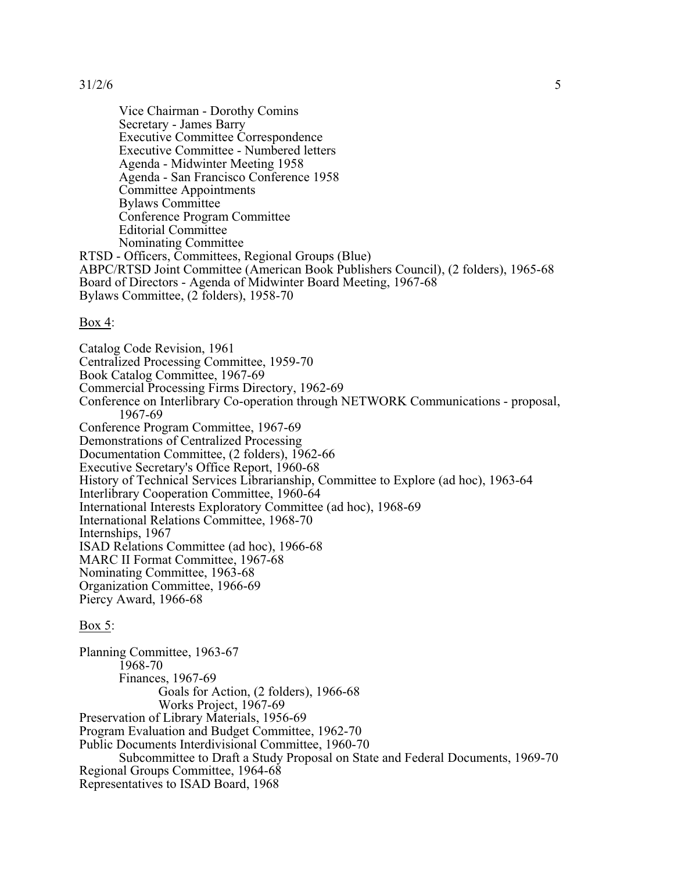Vice Chairman - Dorothy Comins Secretary - James Barry Executive Committee Correspondence Executive Committee - Numbered letters Agenda - Midwinter Meeting 1958 Agenda - San Francisco Conference 1958 Committee Appointments Bylaws Committee Conference Program Committee Editorial Committee Nominating Committee RTSD - Officers, Committees, Regional Groups (Blue)

ABPC/RTSD Joint Committee (American Book Publishers Council), (2 folders), 1965-68 Board of Directors - Agenda of Midwinter Board Meeting, 1967-68 Bylaws Committee, (2 folders), 1958-70

### Box 4:

Catalog Code Revision, 1961

Centralized Processing Committee, 1959-70 Book Catalog Committee, 1967-69 Commercial Processing Firms Directory, 1962-69 Conference on Interlibrary Co-operation through NETWORK Communications - proposal, 1967-69 Conference Program Committee, 1967-69 Demonstrations of Centralized Processing Documentation Committee, (2 folders), 1962-66 Executive Secretary's Office Report, 1960-68 History of Technical Services Librarianship, Committee to Explore (ad hoc), 1963-64 Interlibrary Cooperation Committee, 1960-64 International Interests Exploratory Committee (ad hoc), 1968-69 International Relations Committee, 1968-70 Internships, 1967 ISAD Relations Committee (ad hoc), 1966-68 MARC II Format Committee, 1967-68 Nominating Committee, 1963-68 Organization Committee, 1966-69 Piercy Award, 1966-68

# Box 5:

Planning Committee, 1963-67 1968-70 Finances, 1967-69 Goals for Action, (2 folders), 1966-68 Works Project, 1967-69 Preservation of Library Materials, 1956-69 Program Evaluation and Budget Committee, 1962-70 Public Documents Interdivisional Committee, 1960-70 Subcommittee to Draft a Study Proposal on State and Federal Documents, 1969-70 Regional Groups Committee, 1964-68 Representatives to ISAD Board, 1968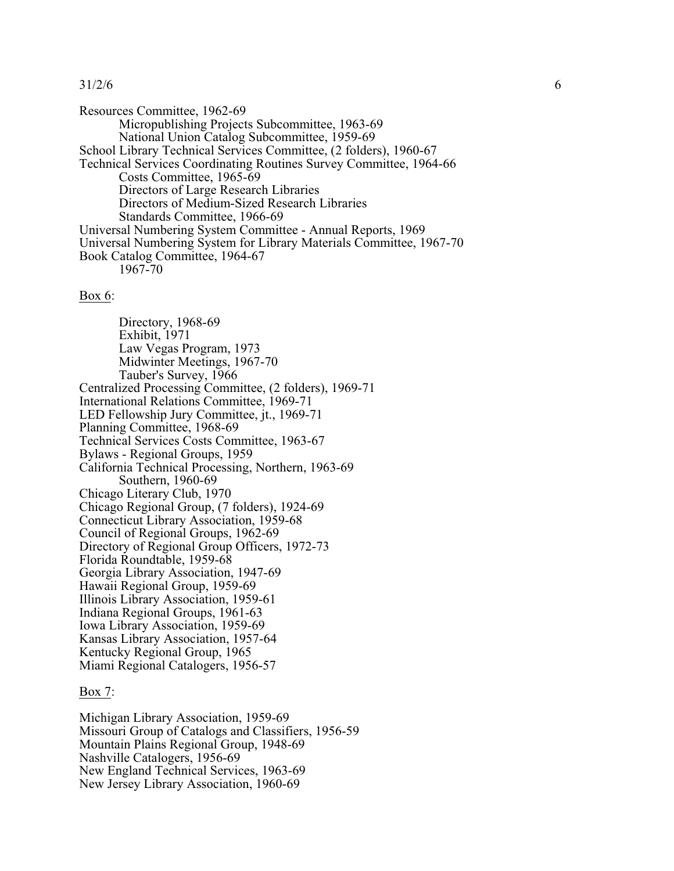Resources Committee, 1962-69 Micropublishing Projects Subcommittee, 1963-69 National Union Catalog Subcommittee, 1959-69 School Library Technical Services Committee, (2 folders), 1960-67 Technical Services Coordinating Routines Survey Committee, 1964-66 Costs Committee, 1965-69 Directors of Large Research Libraries Directors of Medium-Sized Research Libraries Standards Committee, 1966-69 Universal Numbering System Committee - Annual Reports, 1969 Universal Numbering System for Library Materials Committee, 1967-70 Book Catalog Committee, 1964-67 1967-70

#### Box 6:

Directory, 1968-69 Exhibit, 1971 Law Vegas Program, 1973 Midwinter Meetings, 1967-70 Tauber's Survey, 1966 Centralized Processing Committee, (2 folders), 1969-71 International Relations Committee, 1969-71 LED Fellowship Jury Committee, jt., 1969-71 Planning Committee, 1968-69 Technical Services Costs Committee, 1963-67 Bylaws - Regional Groups, 1959 California Technical Processing, Northern, 1963-69 Southern, 1960-69 Chicago Literary Club, 1970 Chicago Regional Group, (7 folders), 1924-69 Connecticut Library Association, 1959-68 Council of Regional Groups, 1962-69 Directory of Regional Group Officers, 1972-73 Florida Roundtable, 1959-68 Georgia Library Association, 1947-69 Hawaii Regional Group, 1959-69 Illinois Library Association, 1959-61 Indiana Regional Groups, 1961-63 Iowa Library Association, 1959-69 Kansas Library Association, 1957-64 Kentucky Regional Group, 1965 Miami Regional Catalogers, 1956-57

### Box 7:

Michigan Library Association, 1959-69 Missouri Group of Catalogs and Classifiers, 1956-59 Mountain Plains Regional Group, 1948-69 Nashville Catalogers, 1956-69 New England Technical Services, 1963-69 New Jersey Library Association, 1960-69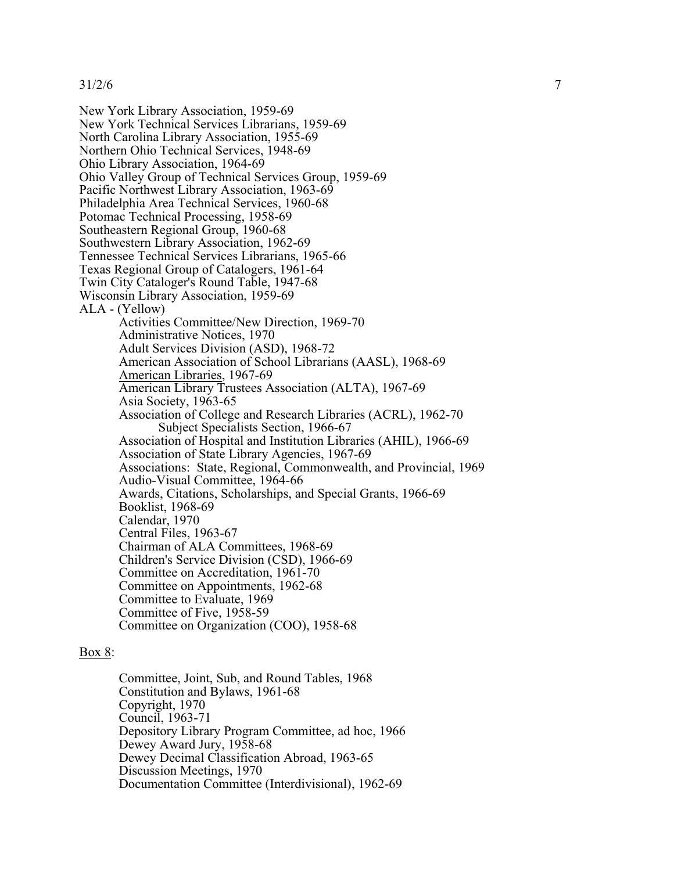New York Library Association, 1959-69 New York Technical Services Librarians, 1959-69 North Carolina Library Association, 1955-69 Northern Ohio Technical Services, 1948-69 Ohio Library Association, 1964-69 Ohio Valley Group of Technical Services Group, 1959-69 Pacific Northwest Library Association, 1963-69 Philadelphia Area Technical Services, 1960-68 Potomac Technical Processing, 1958-69 Southeastern Regional Group, 1960-68 Southwestern Library Association, 1962-69 Tennessee Technical Services Librarians, 1965-66 Texas Regional Group of Catalogers, 1961-64 Twin City Cataloger's Round Table, 1947-68 Wisconsin Library Association, 1959-69 ALA - (Yellow) Activities Committee/New Direction, 1969-70 Administrative Notices, 1970 Adult Services Division (ASD), 1968-72 American Association of School Librarians (AASL), 1968-69 American Libraries, 1967-69 American Library Trustees Association (ALTA), 1967-69 Asia Society, 1963-65 Association of College and Research Libraries (ACRL), 1962-70 Subject Specialists Section, 1966-67 Association of Hospital and Institution Libraries (AHIL), 1966-69 Association of State Library Agencies, 1967-69 Associations: State, Regional, Commonwealth, and Provincial, 1969 Audio-Visual Committee, 1964-66 Awards, Citations, Scholarships, and Special Grants, 1966-69 Booklist, 1968-69 Calendar, 1970 Central Files, 1963-67 Chairman of ALA Committees, 1968-69 Children's Service Division (CSD), 1966-69 Committee on Accreditation, 1961-70 Committee on Appointments, 1962-68 Committee to Evaluate, 1969 Committee of Five, 1958-59 Committee on Organization (COO), 1958-68

### Box 8:

Committee, Joint, Sub, and Round Tables, 1968 Constitution and Bylaws, 1961-68 Copyright, 1970 Council, 1963-71 Depository Library Program Committee, ad hoc, 1966 Dewey Award Jury, 1958-68 Dewey Decimal Classification Abroad, 1963-65 Discussion Meetings, 1970 Documentation Committee (Interdivisional), 1962-69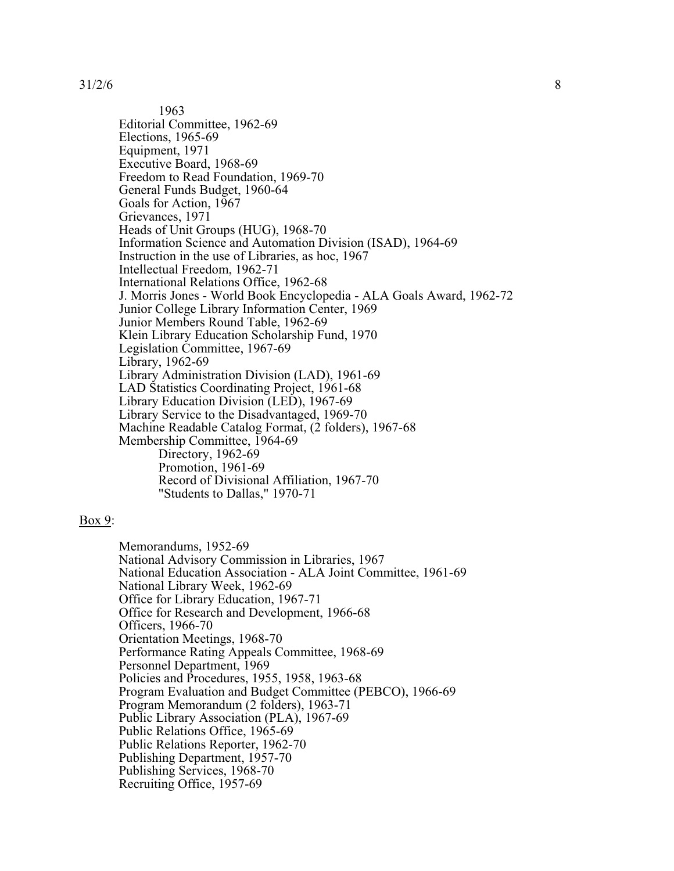1963 Editorial Committee, 1962-69 Elections, 1965-69 Equipment, 1971 Executive Board, 1968-69 Freedom to Read Foundation, 1969-70 General Funds Budget, 1960-64 Goals for Action, 1967 Grievances, 1971 Heads of Unit Groups (HUG), 1968-70 Information Science and Automation Division (ISAD), 1964-69 Instruction in the use of Libraries, as hoc, 1967 Intellectual Freedom, 1962-71 International Relations Office, 1962-68 J. Morris Jones - World Book Encyclopedia - ALA Goals Award, 1962-72 Junior College Library Information Center, 1969 Junior Members Round Table, 1962-69 Klein Library Education Scholarship Fund, 1970 Legislation Committee, 1967-69 Library, 1962-69 Library Administration Division (LAD), 1961-69 LAD Statistics Coordinating Project, 1961-68 Library Education Division (LED), 1967-69 Library Service to the Disadvantaged, 1969-70 Machine Readable Catalog Format, (2 folders), 1967-68 Membership Committee, 1964-69 Directory, 1962-69 Promotion, 1961-69 Record of Divisional Affiliation, 1967-70 "Students to Dallas," 1970-71

## Box 9:

Memorandums, 1952-69 National Advisory Commission in Libraries, 1967 National Education Association - ALA Joint Committee, 1961-69 National Library Week, 1962-69 Office for Library Education, 1967-71 Office for Research and Development, 1966-68 Officers, 1966-70 Orientation Meetings, 1968-70 Performance Rating Appeals Committee, 1968-69 Personnel Department, 1969 Policies and Procedures, 1955, 1958, 1963-68 Program Evaluation and Budget Committee (PEBCO), 1966-69 Program Memorandum (2 folders), 1963-71 Public Library Association (PLA), 1967-69 Public Relations Office, 1965-69 Public Relations Reporter, 1962-70 Publishing Department, 1957-70 Publishing Services, 1968-70 Recruiting Office, 1957-69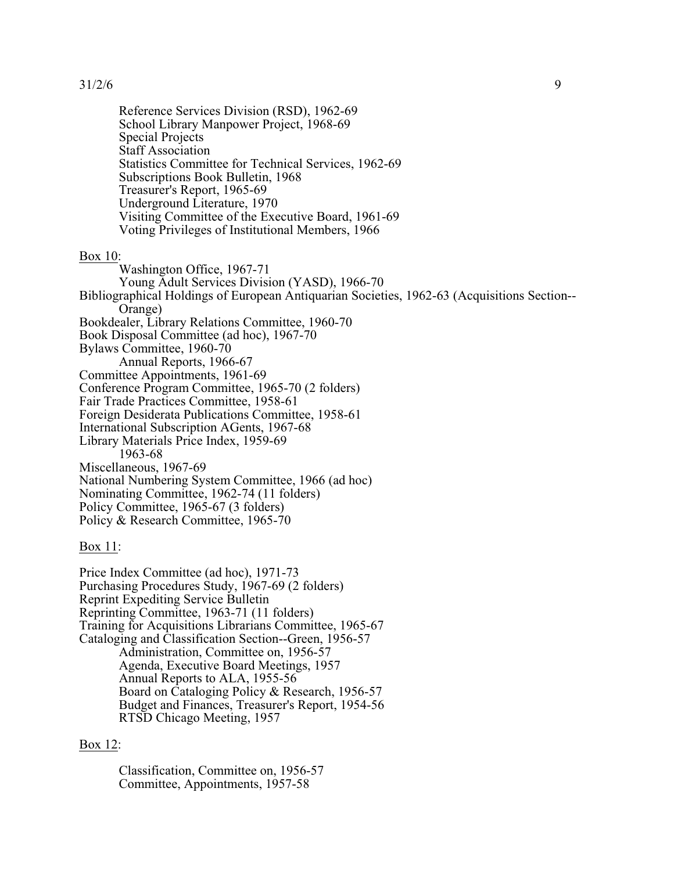Reference Services Division (RSD), 1962-69 School Library Manpower Project, 1968-69 Special Projects Staff Association Statistics Committee for Technical Services, 1962-69 Subscriptions Book Bulletin, 1968 Treasurer's Report, 1965-69 Underground Literature, 1970 Visiting Committee of the Executive Board, 1961-69 Voting Privileges of Institutional Members, 1966

#### Box 10:

Washington Office, 1967-71 Young Adult Services Division (YASD), 1966-70 Bibliographical Holdings of European Antiquarian Societies, 1962-63 (Acquisitions Section-- Orange) Bookdealer, Library Relations Committee, 1960-70 Book Disposal Committee (ad hoc), 1967-70 Bylaws Committee, 1960-70 Annual Reports, 1966-67 Committee Appointments, 1961-69 Conference Program Committee, 1965-70 (2 folders) Fair Trade Practices Committee, 1958-61 Foreign Desiderata Publications Committee, 1958-61 International Subscription AGents, 1967-68 Library Materials Price Index, 1959-69 1963-68 Miscellaneous, 1967-69 National Numbering System Committee, 1966 (ad hoc) Nominating Committee, 1962-74 (11 folders) Policy Committee, 1965-67 (3 folders) Policy & Research Committee, 1965-70

Box 11:

Price Index Committee (ad hoc), 1971-73 Purchasing Procedures Study, 1967-69 (2 folders) Reprint Expediting Service Bulletin Reprinting Committee, 1963-71 (11 folders) Training for Acquisitions Librarians Committee, 1965-67 Cataloging and Classification Section--Green, 1956-57 Administration, Committee on, 1956-57 Agenda, Executive Board Meetings, 1957 Annual Reports to ALA, 1955-56 Board on Cataloging Policy & Research, 1956-57 Budget and Finances, Treasurer's Report, 1954-56 RTSD Chicago Meeting, 1957

# Box 12:

Classification, Committee on, 1956-57 Committee, Appointments, 1957-58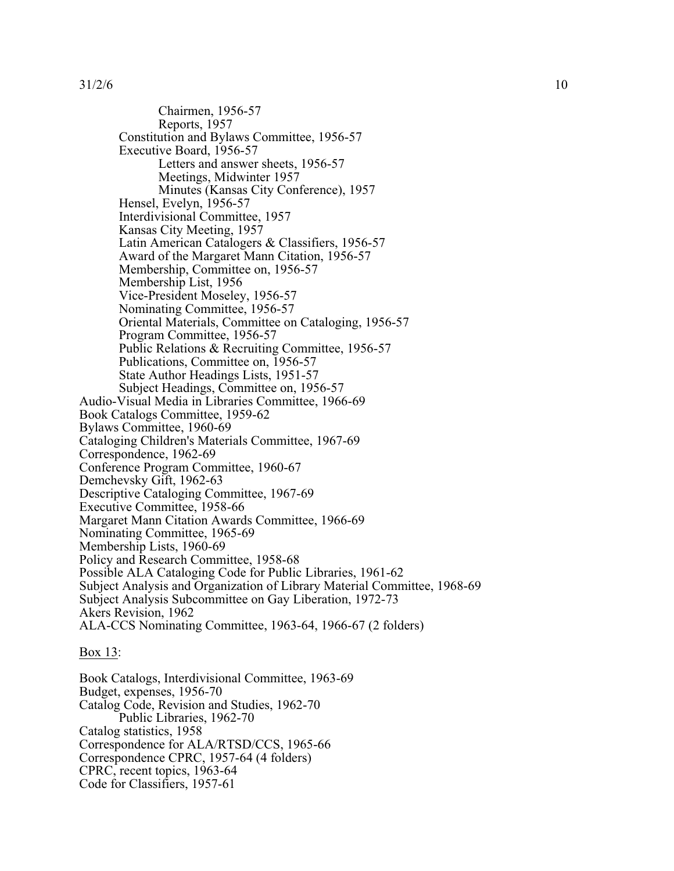Chairmen, 1956-57 Reports, 1957 Constitution and Bylaws Committee, 1956-57 Executive Board, 1956-57 Letters and answer sheets, 1956-57 Meetings, Midwinter 1957 Minutes (Kansas City Conference), 1957 Hensel, Evelyn, 1956-57 Interdivisional Committee, 1957 Kansas City Meeting, 1957 Latin American Catalogers & Classifiers, 1956-57 Award of the Margaret Mann Citation, 1956-57 Membership, Committee on, 1956-57 Membership List, 1956 Vice-President Moseley, 1956-57 Nominating Committee, 1956-57 Oriental Materials, Committee on Cataloging, 1956-57 Program Committee, 1956-57 Public Relations & Recruiting Committee, 1956-57 Publications, Committee on, 1956-57 State Author Headings Lists, 1951-57 Subject Headings, Committee on, 1956-57 Audio-Visual Media in Libraries Committee, 1966-69 Book Catalogs Committee, 1959-62 Bylaws Committee, 1960-69 Cataloging Children's Materials Committee, 1967-69 Correspondence, 1962-69 Conference Program Committee, 1960-67 Demchevsky Gift, 1962-63 Descriptive Cataloging Committee, 1967-69 Executive Committee, 1958-66 Margaret Mann Citation Awards Committee, 1966-69 Nominating Committee, 1965-69 Membership Lists, 1960-69 Policy and Research Committee, 1958-68 Possible ALA Cataloging Code for Public Libraries, 1961-62 Subject Analysis and Organization of Library Material Committee, 1968-69 Subject Analysis Subcommittee on Gay Liberation, 1972-73 Akers Revision, 1962 ALA-CCS Nominating Committee, 1963-64, 1966-67 (2 folders)

### Box 13:

Book Catalogs, Interdivisional Committee, 1963-69 Budget, expenses, 1956-70 Catalog Code, Revision and Studies, 1962-70 Public Libraries, 1962-70 Catalog statistics, 1958 Correspondence for ALA/RTSD/CCS, 1965-66 Correspondence CPRC, 1957-64 (4 folders) CPRC, recent topics, 1963-64 Code for Classifiers, 1957-61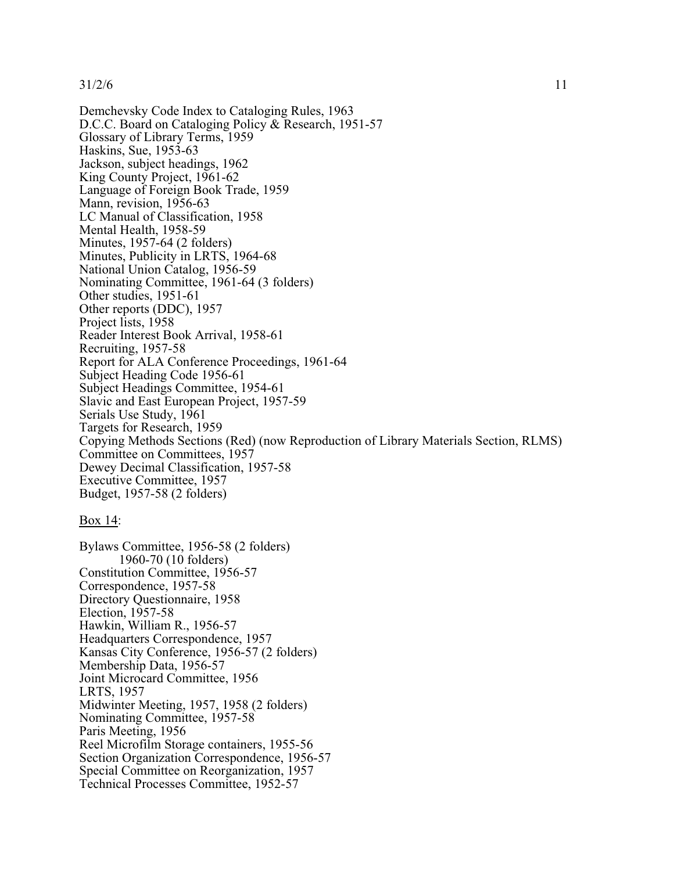Demchevsky Code Index to Cataloging Rules, 1963 D.C.C. Board on Cataloging Policy & Research, 1951-57 Glossary of Library Terms, 1959 Haskins, Sue, 1953-63 Jackson, subject headings, 1962 King County Project, 1961-62 Language of Foreign Book Trade, 1959 Mann, revision, 1956-63 LC Manual of Classification, 1958 Mental Health, 1958-59 Minutes, 1957-64 (2 folders) Minutes, Publicity in LRTS, 1964-68 National Union Catalog, 1956-59 Nominating Committee, 1961-64 (3 folders) Other studies, 1951-61 Other reports (DDC), 1957 Project lists, 1958 Reader Interest Book Arrival, 1958-61 Recruiting, 1957-58 Report for ALA Conference Proceedings, 1961-64 Subject Heading Code 1956-61 Subject Headings Committee, 1954-61 Slavic and East European Project, 1957-59 Serials Use Study, 1961 Targets for Research, 1959 Copying Methods Sections (Red) (now Reproduction of Library Materials Section, RLMS) Committee on Committees, 1957 Dewey Decimal Classification, 1957-58 Executive Committee, 1957 Budget, 1957-58 (2 folders)

## Box 14:

Bylaws Committee, 1956-58 (2 folders) 1960-70 (10 folders) Constitution Committee, 1956-57 Correspondence, 1957-58 Directory Questionnaire, 1958 Election, 1957-58 Hawkin, William R., 1956-57 Headquarters Correspondence, 1957 Kansas City Conference, 1956-57 (2 folders) Membership Data, 1956-57 Joint Microcard Committee, 1956 LRTS, 1957 Midwinter Meeting, 1957, 1958 (2 folders) Nominating Committee, 1957-58 Paris Meeting, 1956 Reel Microfilm Storage containers, 1955-56 Section Organization Correspondence, 1956-57 Special Committee on Reorganization, 1957 Technical Processes Committee, 1952-57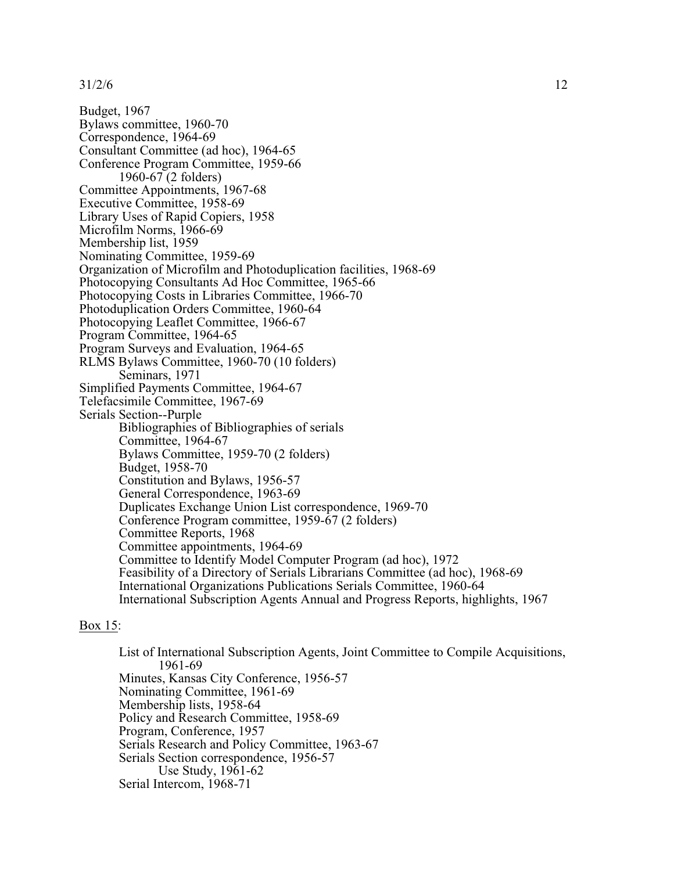Budget, 1967 Bylaws committee, 1960-70 Correspondence, 1964-69 Consultant Committee (ad hoc), 1964-65 Conference Program Committee, 1959-66 1960-67 (2 folders) Committee Appointments, 1967-68 Executive Committee, 1958-69 Library Uses of Rapid Copiers, 1958 Microfilm Norms, 1966-69 Membership list, 1959 Nominating Committee, 1959-69 Organization of Microfilm and Photoduplication facilities, 1968-69 Photocopying Consultants Ad Hoc Committee, 1965-66 Photocopying Costs in Libraries Committee, 1966-70 Photoduplication Orders Committee, 1960-64 Photocopying Leaflet Committee, 1966-67 Program Committee, 1964-65 Program Surveys and Evaluation, 1964-65 RLMS Bylaws Committee, 1960-70 (10 folders) Seminars, 1971 Simplified Payments Committee, 1964-67 Telefacsimile Committee, 1967-69 Serials Section--Purple Bibliographies of Bibliographies of serials Committee, 1964-67 Bylaws Committee, 1959-70 (2 folders) Budget, 1958-70 Constitution and Bylaws, 1956-57 General Correspondence, 1963-69 Duplicates Exchange Union List correspondence, 1969-70 Conference Program committee, 1959-67 (2 folders) Committee Reports, 1968 Committee appointments, 1964-69 Committee to Identify Model Computer Program (ad hoc), 1972 Feasibility of a Directory of Serials Librarians Committee (ad hoc), 1968-69 International Organizations Publications Serials Committee, 1960-64 International Subscription Agents Annual and Progress Reports, highlights, 1967

### Box 15:

List of International Subscription Agents, Joint Committee to Compile Acquisitions, 1961-69 Minutes, Kansas City Conference, 1956-57 Nominating Committee, 1961-69 Membership lists, 1958-64 Policy and Research Committee, 1958-69 Program, Conference, 1957 Serials Research and Policy Committee, 1963-67 Serials Section correspondence, 1956-57 Use Study, 1961-62 Serial Intercom, 1968-71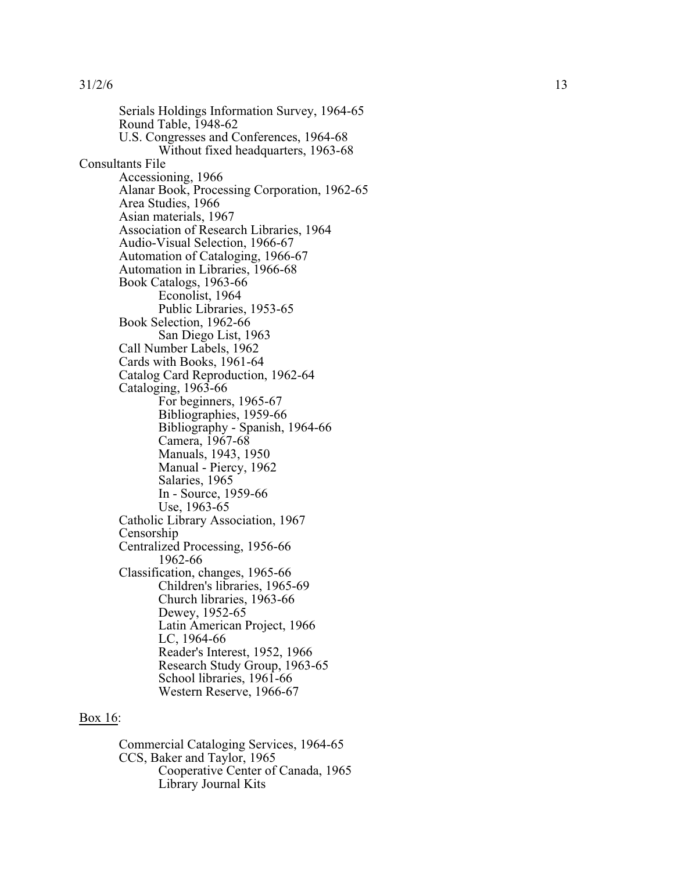Serials Holdings Information Survey, 1964-65 Round Table, 1948-62<br>U.S. Congresses and Conferences, 1964-68 Without fixed headquarters, 1963-68 Consultants File Accessioning, 1966 Alanar Book, Processing Corporation, 1962-65 Area Studies, 1966 Asian materials, 1967 Association of Research Libraries, 1964 Audio-Visual Selection, 1966-67 Automation of Cataloging, 1966-67 Automation in Libraries, 1966-68 Book Catalogs, 1963-66 Econolist, 1964 Public Libraries, 1953-65 Book Selection, 1962-66 San Diego List, 1963 Call Number Labels, 1962 Cards with Books, 1961-64 Catalog Card Reproduction, 1962-64 Cataloging, 1963-66 For beginners, 1965-67 Bibliographies, 1959-66 Bibliography - Spanish, 1964-66 Camera, 1967-68 Manuals, 1943, 1950 Manual - Piercy, 1962 Salaries, 1965 In - Source, 1959-66 Use, 1963-65 Catholic Library Association, 1967 Censorship Centralized Processing, 1956-66 1962-66 Classification, changes, 1965-66 Children's libraries, 1965-69 Church libraries, 1963-66 Dewey, 1952-65 Latin American Project, 1966 LC, 1964-66 Reader's Interest, 1952, 1966 Research Study Group, 1963-65<br>School libraries, 1961-66 Western Reserve, 1966-67

# Box 16:

Commercial Cataloging Services, 1964-65 CCS, Baker and Taylor, 1965 Cooperative Center of Canada, 1965 Library Journal Kits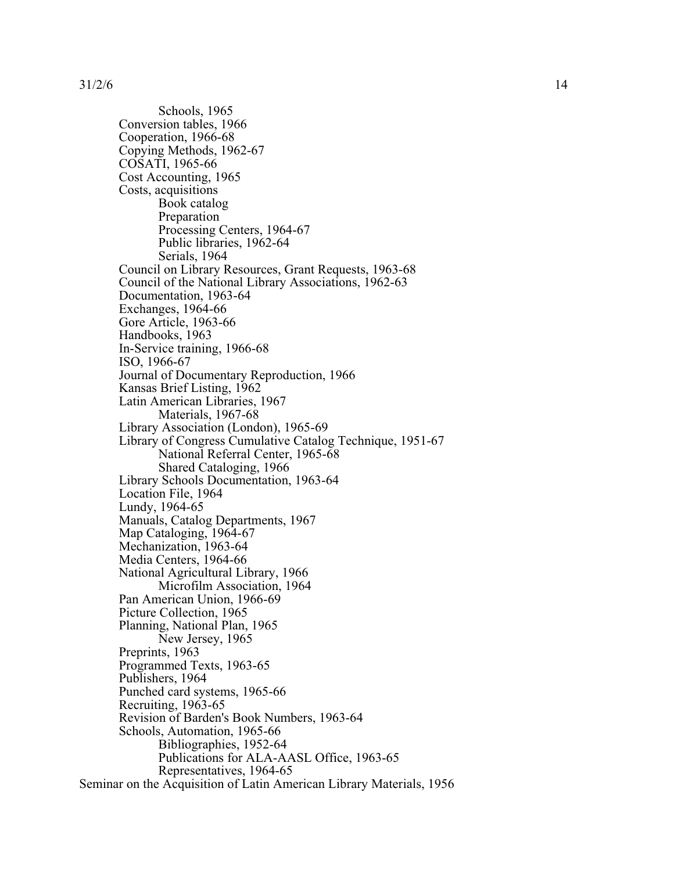Schools, 1965 Conversion tables, 1966 Cooperation, 1966-68 Copying Methods, 1962-67 COSATI, 1965-66 Cost Accounting, 1965 Costs, acquisitions Book catalog Preparation Processing Centers, 1964-67 Public libraries, 1962-64 Serials, 1964 Council on Library Resources, Grant Requests, 1963-68 Council of the National Library Associations, 1962-63 Documentation, 1963-64 Exchanges, 1964-66 Gore Article, 1963-66 Handbooks, 1963 In-Service training, 1966-68 ISO, 1966-67 Journal of Documentary Reproduction, 1966 Kansas Brief Listing, 1962 Latin American Libraries, 1967 Materials, 1967-68 Library Association (London), 1965-69 Library of Congress Cumulative Catalog Technique, 1951-67 National Referral Center, 1965-68 Shared Cataloging, 1966 Library Schools Documentation, 1963-64 Location File, 1964 Lundy, 1964-65 Manuals, Catalog Departments, 1967 Map Cataloging, 1964-67 Mechanization, 1963-64 Media Centers, 1964-66 National Agricultural Library, 1966 Microfilm Association, 1964 Pan American Union, 1966-69 Picture Collection, 1965 Planning, National Plan, 1965 New Jersey, 1965 Preprints, 1963 Programmed Texts, 1963-65 Publishers, 1964 Punched card systems, 1965-66 Recruiting, 1963-65 Revision of Barden's Book Numbers, 1963-64 Schools, Automation, 1965-66 Bibliographies, 1952-64 Publications for ALA-AASL Office, 1963-65 Representatives, 1964-65 Seminar on the Acquisition of Latin American Library Materials, 1956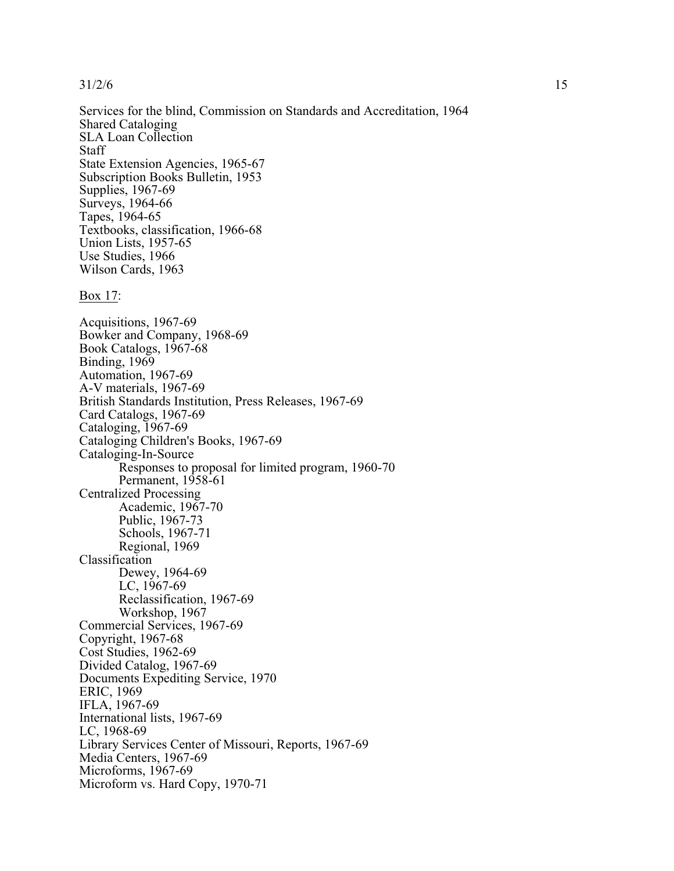Services for the blind, Commission on Standards and Accreditation, 1964 Shared Cataloging SLA Loan Collection Staff State Extension Agencies, 1965-67 Subscription Books Bulletin, 1953 Supplies, 1967-69 Surveys, 1964-66 Tapes, 1964-65 Textbooks, classification, 1966-68 Union Lists, 1957-65 Use Studies, 1966 Wilson Cards, 1963

Box 17:

Acquisitions, 1967-69 Bowker and Company, 1968-69 Book Catalogs, 1967-68 Binding, 1969 Automation, 1967-69 A-V materials, 1967-69 British Standards Institution, Press Releases, 1967-69 Card Catalogs, 1967-69 Cataloging, 1967-69 Cataloging Children's Books, 1967-69 Cataloging-In-Source Responses to proposal for limited program, 1960-70 Permanent, 1958-61 Centralized Processing Academic, 1967-70 Public, 1967-73 Schools, 1967-71 Regional, 1969 Classification Dewey, 1964-69 LC, 1967-69 Reclassification, 1967-69 Workshop, 1967 Commercial Services, 1967-69 Copyright, 1967-68 Cost Studies, 1962-69 Divided Catalog, 1967-69 Documents Expediting Service, 1970 ERIC, 1969 IFLA, 1967-69 International lists, 1967-69 LC, 1968-69 Library Services Center of Missouri, Reports, 1967-69 Media Centers, 1967-69 Microforms, 1967-69 Microform vs. Hard Copy, 1970-71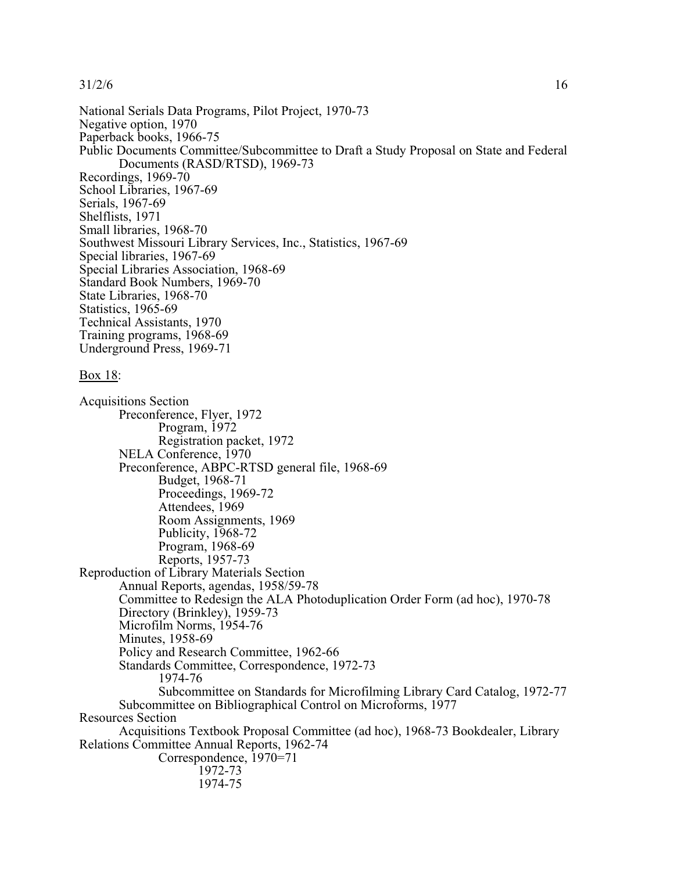National Serials Data Programs, Pilot Project, 1970-73 Negative option, 1970 Paperback books, 1966-75 Public Documents Committee/Subcommittee to Draft a Study Proposal on State and Federal Documents (RASD/RTSD), 1969-73 Recordings, 1969-70 School Libraries, 1967-69 Serials, 1967-69 Shelflists, 1971 Small libraries, 1968-70 Southwest Missouri Library Services, Inc., Statistics, 1967-69 Special libraries, 1967-69 Special Libraries Association, 1968-69 Standard Book Numbers, 1969-70 State Libraries, 1968-70 Statistics, 1965-69 Technical Assistants, 1970 Training programs, 1968-69 Underground Press, 1969-71

## Box 18:

Acquisitions Section Preconference, Flyer, 1972 Program, 1972 Registration packet, 1972 NELA Conference, 1970 Preconference, ABPC-RTSD general file, 1968-69 Budget, 1968-71 Proceedings, 1969-72 Attendees, 1969 Room Assignments, 1969 Publicity, 1968-72 Program, 1968-69 Reports, 1957-73 Reproduction of Library Materials Section Annual Reports, agendas, 1958/59-78 Committee to Redesign the ALA Photoduplication Order Form (ad hoc), 1970-78 Directory (Brinkley), 1959-73 Microfilm Norms, 1954-76 Minutes, 1958-69 Policy and Research Committee, 1962-66 Standards Committee, Correspondence, 1972-73 1974-76 Subcommittee on Standards for Microfilming Library Card Catalog, 1972-77 Subcommittee on Bibliographical Control on Microforms, 1977 Resources Section Acquisitions Textbook Proposal Committee (ad hoc), 1968-73 Bookdealer, Library Relations Committee Annual Reports, 1962-74 Correspondence, 1970=71 1972-73 1974-75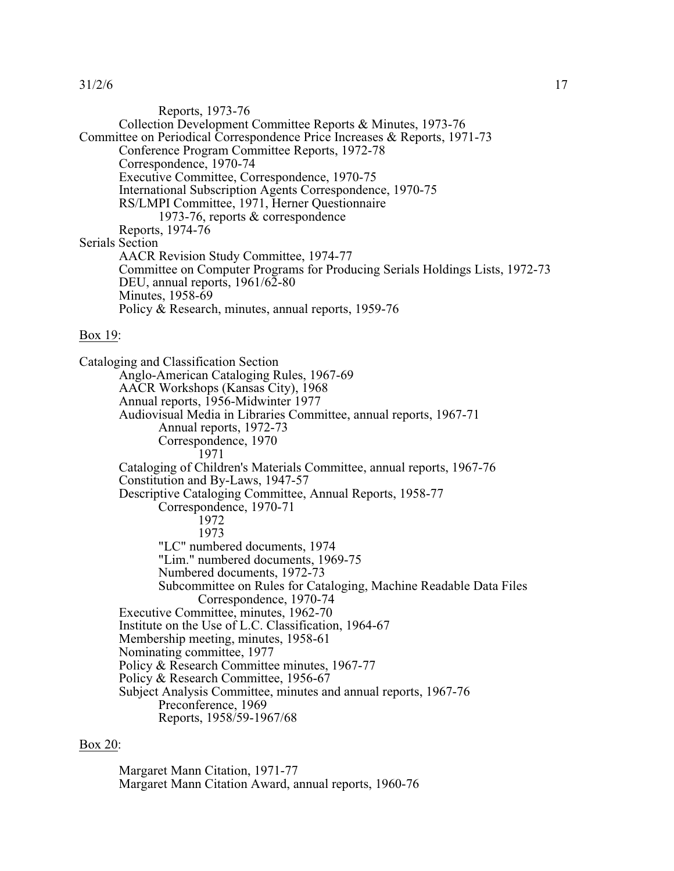Reports, 1973-76 Collection Development Committee Reports & Minutes, 1973-76 Committee on Periodical Correspondence Price Increases & Reports, 1971-73 Conference Program Committee Reports, 1972-78 Correspondence, 1970-74 Executive Committee, Correspondence, 1970-75 International Subscription Agents Correspondence, 1970-75 RS/LMPI Committee, 1971, Herner Questionnaire 1973-76, reports & correspondence Reports, 1974-76 Serials Section AACR Revision Study Committee, 1974-77 Committee on Computer Programs for Producing Serials Holdings Lists, 1972-73 DEU, annual reports, 1961/62-80 Minutes, 1958-69 Policy & Research, minutes, annual reports, 1959-76

### Box 19:

Cataloging and Classification Section Anglo-American Cataloging Rules, 1967-69 AACR Workshops (Kansas City), 1968 Annual reports, 1956-Midwinter 1977 Audiovisual Media in Libraries Committee, annual reports, 1967-71 Annual reports, 1972-73 Correspondence, 1970 1971 Cataloging of Children's Materials Committee, annual reports, 1967-76 Constitution and By-Laws, 1947-57 Descriptive Cataloging Committee, Annual Reports, 1958-77 Correspondence, 1970-71 1972 1973 "LC" numbered documents, 1974 "Lim." numbered documents, 1969-75 Numbered documents, 1972-73 Subcommittee on Rules for Cataloging, Machine Readable Data Files Correspondence, 1970-74 Executive Committee, minutes, 1962-70 Institute on the Use of L.C. Classification, 1964-67 Membership meeting, minutes, 1958-61 Nominating committee, 1977 Policy & Research Committee minutes, 1967-77 Policy & Research Committee, 1956-67 Subject Analysis Committee, minutes and annual reports, 1967-76 Preconference, 1969 Reports, 1958/59-1967/68

## Box 20:

Margaret Mann Citation, 1971-77 Margaret Mann Citation Award, annual reports, 1960-76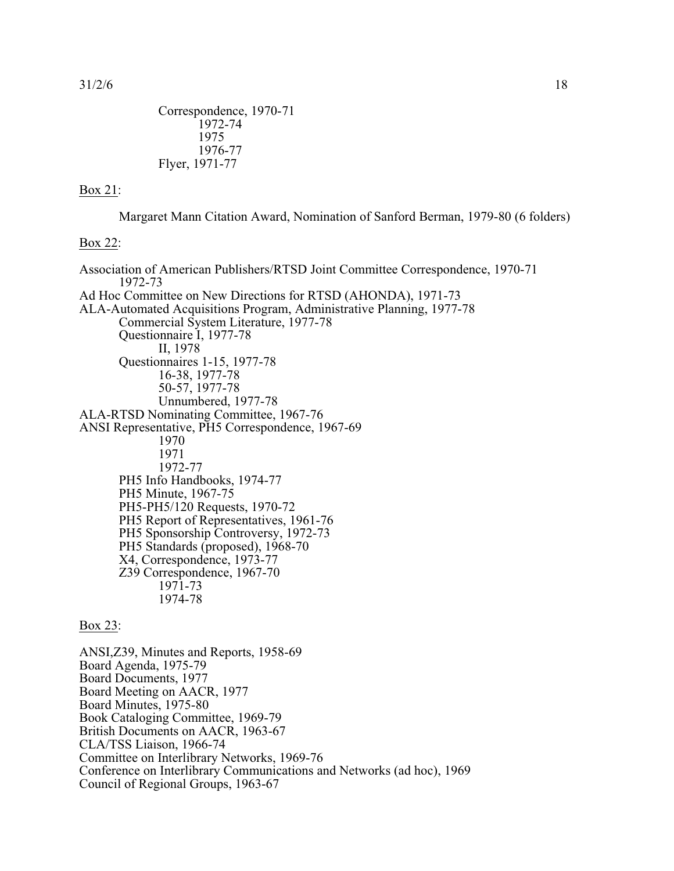```
Correspondence, 1970-71
       1972-74
       1975
       1976-77
Flyer, 1971-77
```
# Box 21:

Margaret Mann Citation Award, Nomination of Sanford Berman, 1979-80 (6 folders)

### Box 22:

Association of American Publishers/RTSD Joint Committee Correspondence, 1970-71 1972-73 Ad Hoc Committee on New Directions for RTSD (AHONDA), 1971-73 ALA-Automated Acquisitions Program, Administrative Planning, 1977-78 Commercial System Literature, 1977-78 Questionnaire I, 1977-78 II, 1978 Questionnaires 1-15, 1977-78 16-38, 1977-78 50-57, 1977-78 Unnumbered, 1977-78 ALA-RTSD Nominating Committee, 1967-76 ANSI Representative, PH5 Correspondence, 1967-69 1970 1971 1972-77 PH5 Info Handbooks, 1974-77 PH5 Minute, 1967-75 PH5-PH5/120 Requests, 1970-72 PH5 Report of Representatives, 1961-76 PH5 Sponsorship Controversy, 1972-73 PH5 Standards (proposed), 1968-70 X4, Correspondence, 1973-77 Z39 Correspondence, 1967-70 1971-73 1974-78

## Box 23:

ANSI,Z39, Minutes and Reports, 1958-69 Board Agenda, 1975-79 Board Documents, 1977 Board Meeting on AACR, 1977 Board Minutes, 1975-80 Book Cataloging Committee, 1969-79 British Documents on AACR, 1963-67 CLA/TSS Liaison, 1966-74 Committee on Interlibrary Networks, 1969-76 Conference on Interlibrary Communications and Networks (ad hoc), 1969 Council of Regional Groups, 1963-67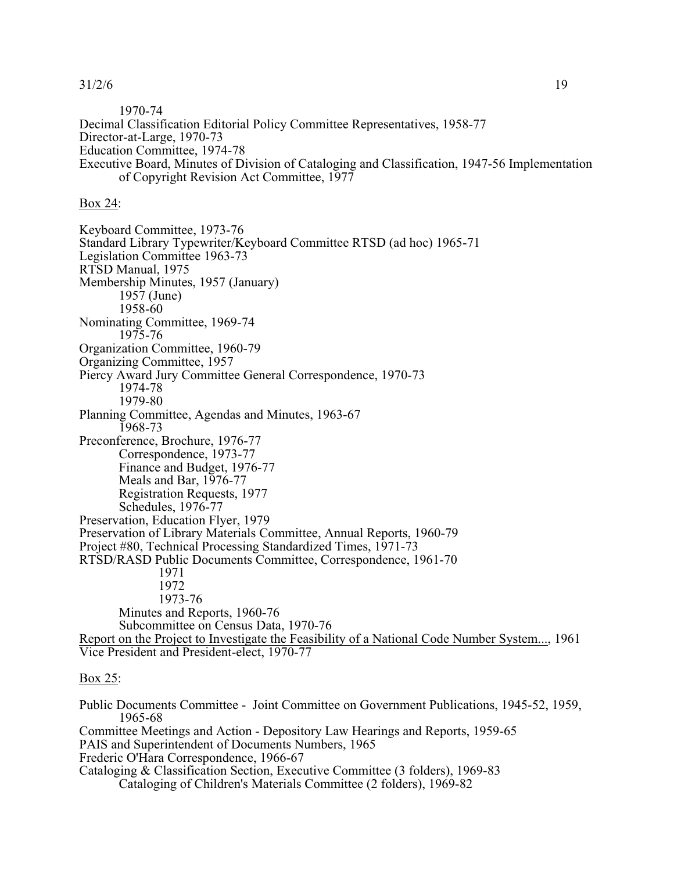1970-74 Decimal Classification Editorial Policy Committee Representatives, 1958-77 Director-at-Large, 1970-73 Education Committee, 1974-78 Executive Board, Minutes of Division of Cataloging and Classification, 1947-56 Implementation of Copyright Revision Act Committee, 1977

Box 24:

Keyboard Committee, 1973-76 Standard Library Typewriter/Keyboard Committee RTSD (ad hoc) 1965-71 Legislation Committee 1963-73 RTSD Manual, 1975 Membership Minutes, 1957 (January) 1957 (June) 1958-60 Nominating Committee, 1969-74 1975-76 Organization Committee, 1960-79 Organizing Committee, 1957 Piercy Award Jury Committee General Correspondence, 1970-73 1974-78 1979-80 Planning Committee, Agendas and Minutes, 1963-67 1968-73 Preconference, Brochure, 1976-77 Correspondence, 1973-77 Finance and Budget, 1976-77 Meals and Bar, 1976-77 Registration Requests, 1977 Schedules, 1976-77 Preservation, Education Flyer, 1979 Preservation of Library Materials Committee, Annual Reports, 1960-79 Project #80, Technical Processing Standardized Times, 1971-73 RTSD/RASD Public Documents Committee, Correspondence, 1961-70 1971 1972 1973-76 Minutes and Reports, 1960-76 Subcommittee on Census Data, 1970-76 Report on the Project to Investigate the Feasibility of a National Code Number System..., 1961 Vice President and President-elect, 1970-77

### Box 25:

Public Documents Committee - Joint Committee on Government Publications, 1945-52, 1959, 1965-68 Committee Meetings and Action - Depository Law Hearings and Reports, 1959-65 PAIS and Superintendent of Documents Numbers, 1965 Frederic O'Hara Correspondence, 1966-67 Cataloging & Classification Section, Executive Committee (3 folders), 1969-83 Cataloging of Children's Materials Committee (2 folders), 1969-82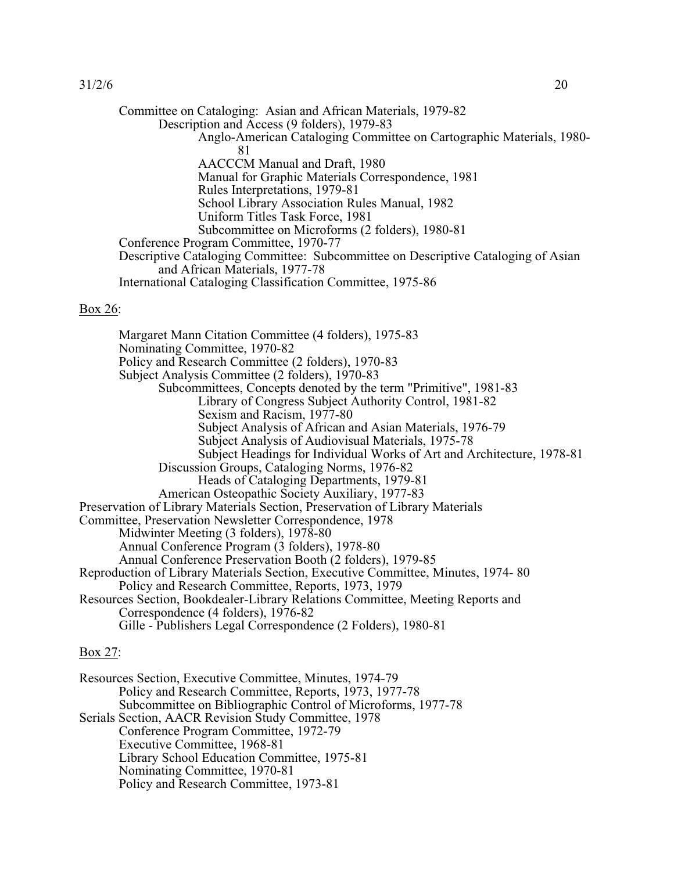Committee on Cataloging: Asian and African Materials, 1979-82 Description and Access (9 folders), 1979-83 Anglo-American Cataloging Committee on Cartographic Materials, 1980- 81 AACCCM Manual and Draft, 1980 Manual for Graphic Materials Correspondence, 1981 Rules Interpretations, 1979-81 School Library Association Rules Manual, 1982 Uniform Titles Task Force, 1981 Subcommittee on Microforms (2 folders), 1980-81 Conference Program Committee, 1970-77 Descriptive Cataloging Committee: Subcommittee on Descriptive Cataloging of Asian and African Materials, 1977-78 International Cataloging Classification Committee, 1975-86

## Box 26:

Margaret Mann Citation Committee (4 folders), 1975-83 Nominating Committee, 1970-82 Policy and Research Committee (2 folders), 1970-83 Subject Analysis Committee (2 folders), 1970-83 Subcommittees, Concepts denoted by the term "Primitive", 1981-83 Library of Congress Subject Authority Control, 1981-82 Sexism and Racism, 1977-80 Subject Analysis of African and Asian Materials, 1976-79 Subject Analysis of Audiovisual Materials, 1975-78 Subject Headings for Individual Works of Art and Architecture, 1978-81 Discussion Groups, Cataloging Norms, 1976-82 Heads of Cataloging Departments, 1979-81 American Osteopathic Society Auxiliary, 1977-83 Preservation of Library Materials Section, Preservation of Library Materials Committee, Preservation Newsletter Correspondence, 1978 Midwinter Meeting (3 folders), 1978-80 Annual Conference Program (3 folders), 1978-80 Annual Conference Preservation Booth (2 folders), 1979-85 Reproduction of Library Materials Section, Executive Committee, Minutes, 1974- 80 Policy and Research Committee, Reports, 1973, 1979 Resources Section, Bookdealer-Library Relations Committee, Meeting Reports and Correspondence (4 folders), 1976-82 Gille - Publishers Legal Correspondence (2 Folders), 1980-81

# Box 27:

| Resources Section, Executive Committee, Minutes, 1974-79     |
|--------------------------------------------------------------|
| Policy and Research Committee, Reports, 1973, 1977-78        |
| Subcommittee on Bibliographic Control of Microforms, 1977-78 |
| Serials Section, AACR Revision Study Committee, 1978         |
| Conference Program Committee, 1972-79                        |
| Executive Committee, 1968-81                                 |
| Library School Education Committee, 1975-81                  |
| Nominating Committee, 1970-81                                |
| Policy and Research Committee, 1973-81                       |
|                                                              |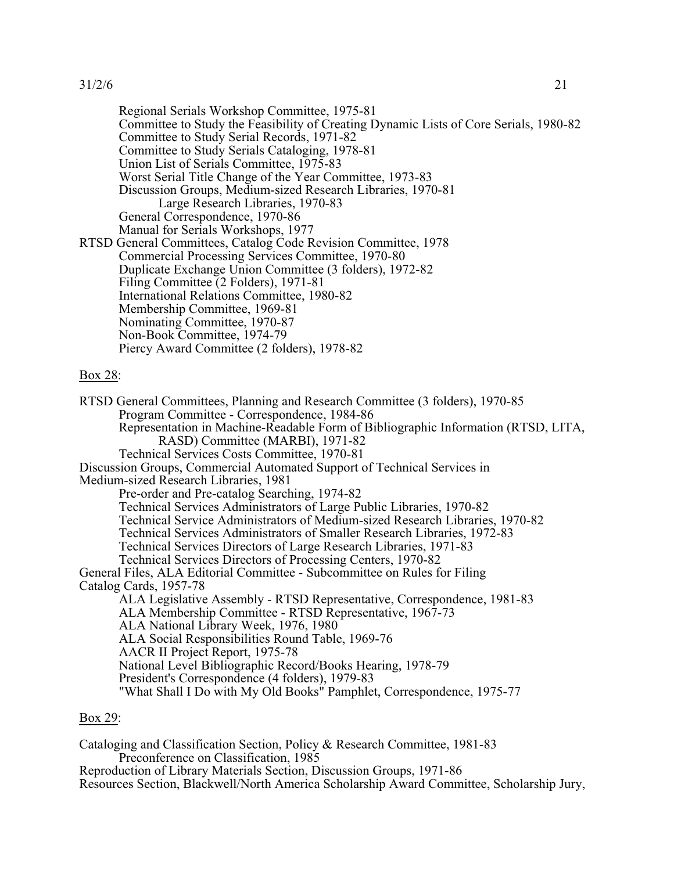Regional Serials Workshop Committee, 1975-81 Committee to Study the Feasibility of Creating Dynamic Lists of Core Serials, 1980-82 Committee to Study Serial Records, 1971-82 Committee to Study Serials Cataloging, 1978-81 Union List of Serials Committee, 1975-83 Worst Serial Title Change of the Year Committee, 1973-83 Discussion Groups, Medium-sized Research Libraries, 1970-81 Large Research Libraries, 1970-83 General Correspondence, 1970-86 Manual for Serials Workshops, 1977 RTSD General Committees, Catalog Code Revision Committee, 1978 Commercial Processing Services Committee, 1970-80 Duplicate Exchange Union Committee (3 folders), 1972-82 Filing Committee (2 Folders), 1971-81 International Relations Committee, 1980-82 Membership Committee, 1969-81 Nominating Committee, 1970-87 Non-Book Committee, 1974-79 Piercy Award Committee (2 folders), 1978-82

# Box 28:

RTSD General Committees, Planning and Research Committee (3 folders), 1970-85 Program Committee - Correspondence, 1984-86 Representation in Machine-Readable Form of Bibliographic Information (RTSD, LITA, RASD) Committee (MARBI), 1971-82 Technical Services Costs Committee, 1970-81 Discussion Groups, Commercial Automated Support of Technical Services in Medium-sized Research Libraries, 1981 Pre-order and Pre-catalog Searching, 1974-82 Technical Services Administrators of Large Public Libraries, 1970-82 Technical Service Administrators of Medium-sized Research Libraries, 1970-82 Technical Services Administrators of Smaller Research Libraries, 1972-83 Technical Services Directors of Large Research Libraries, 1971-83 Technical Services Directors of Processing Centers, 1970-82 General Files, ALA Editorial Committee - Subcommittee on Rules for Filing Catalog Cards, 1957-78 ALA Legislative Assembly - RTSD Representative, Correspondence, 1981-83 ALA Membership Committee - RTSD Representative, 1967-73 ALA National Library Week, 1976, 1980 ALA Social Responsibilities Round Table, 1969-76 AACR II Project Report, 1975-78 National Level Bibliographic Record/Books Hearing, 1978-79 President's Correspondence (4 folders), 1979-83 "What Shall I Do with My Old Books" Pamphlet, Correspondence, 1975-77

# Box 29:

Cataloging and Classification Section, Policy & Research Committee, 1981-83 Preconference on Classification, 1985 Reproduction of Library Materials Section, Discussion Groups, 1971-86

Resources Section, Blackwell/North America Scholarship Award Committee, Scholarship Jury,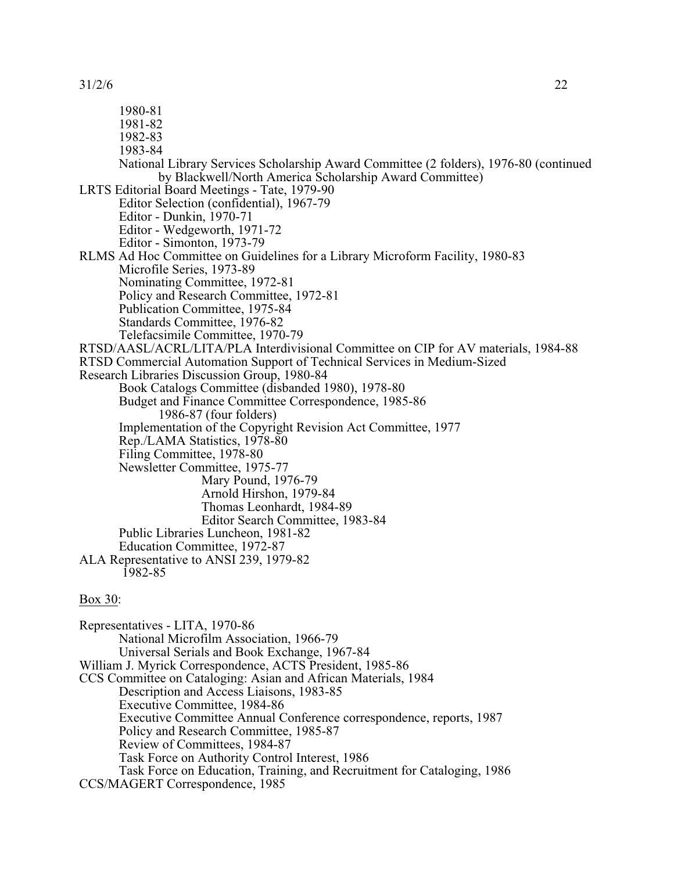1980-81 1981-82 1982-83 1983-84 National Library Services Scholarship Award Committee (2 folders), 1976-80 (continued by Blackwell/North America Scholarship Award Committee) LRTS Editorial Board Meetings - Tate, 1979-90 Editor Selection (confidential), 1967-79 Editor - Dunkin, 1970-71 Editor - Wedgeworth, 1971-72 Editor - Simonton, 1973-79 RLMS Ad Hoc Committee on Guidelines for a Library Microform Facility, 1980-83 Microfile Series, 1973-89 Nominating Committee, 1972-81 Policy and Research Committee, 1972-81 Publication Committee, 1975-84 Standards Committee, 1976-82 Telefacsimile Committee, 1970-79 RTSD/AASL/ACRL/LITA/PLA Interdivisional Committee on CIP for AV materials, 1984-88 RTSD Commercial Automation Support of Technical Services in Medium-Sized Research Libraries Discussion Group, 1980-84 Book Catalogs Committee (disbanded 1980), 1978-80 Budget and Finance Committee Correspondence, 1985-86 1986-87 (four folders) Implementation of the Copyright Revision Act Committee, 1977 Rep./LAMA Statistics, 1978-80 Filing Committee, 1978-80 Newsletter Committee, 1975-77 Mary Pound, 1976-79 Arnold Hirshon, 1979-84 Thomas Leonhardt, 1984-89 Editor Search Committee, 1983-84 Public Libraries Luncheon, 1981-82 Education Committee, 1972-87 ALA Representative to ANSI 239, 1979-82 1982-85 Box 30: Representatives - LITA, 1970-86 National Microfilm Association, 1966-79 Universal Serials and Book Exchange, 1967-84 William J. Myrick Correspondence, ACTS President, 1985-86 CCS Committee on Cataloging: Asian and African Materials, 1984 Description and Access Liaisons, 1983-85 Executive Committee, 1984-86 Executive Committee Annual Conference correspondence, reports, 1987 Policy and Research Committee, 1985-87 Review of Committees, 1984-87

Task Force on Authority Control Interest, 1986

Task Force on Education, Training, and Recruitment for Cataloging, 1986 CCS/MAGERT Correspondence, 1985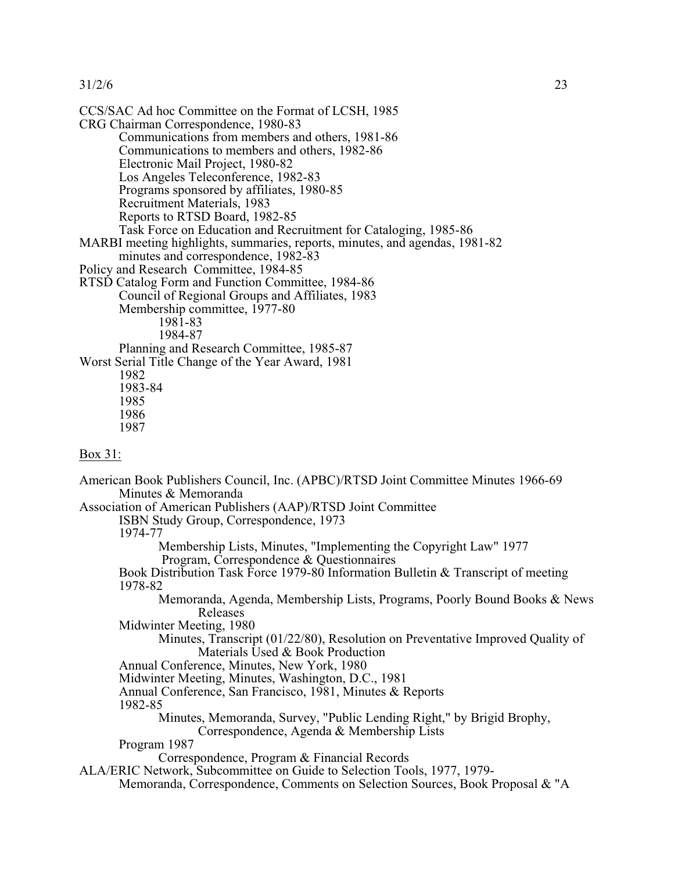CCS/SAC Ad hoc Committee on the Format of LCSH, 1985 CRG Chairman Correspondence, 1980-83 Communications from members and others, 1981-86 Communications to members and others, 1982-86 Electronic Mail Project, 1980-82 Los Angeles Teleconference, 1982-83 Programs sponsored by affiliates, 1980-85 Recruitment Materials, 1983 Reports to RTSD Board, 1982-85 Task Force on Education and Recruitment for Cataloging, 1985-86 MARBI meeting highlights, summaries, reports, minutes, and agendas, 1981-82 minutes and correspondence, 1982-83 Policy and Research Committee, 1984-85 RTSD Catalog Form and Function Committee, 1984-86 Council of Regional Groups and Affiliates, 1983 Membership committee, 1977-80 1981-83 1984-87 Planning and Research Committee, 1985-87 Worst Serial Title Change of the Year Award, 1981 1982 1983-84 1985 1986 1987 Box 31: American Book Publishers Council, Inc. (APBC)/RTSD Joint Committee Minutes 1966-69 Minutes & Memoranda Association of American Publishers (AAP)/RTSD Joint Committee ISBN Study Group, Correspondence, 1973 1974-77 Membership Lists, Minutes, "Implementing the Copyright Law" 1977 Program, Correspondence & Questionnaires Book Distribution Task Force 1979-80 Information Bulletin & Transcript of meeting 1978-82 Memoranda, Agenda, Membership Lists, Programs, Poorly Bound Books & News Releases Midwinter Meeting, 1980 Minutes, Transcript (01/22/80), Resolution on Preventative Improved Quality of Materials Used & Book Production Annual Conference, Minutes, New York, 1980 Midwinter Meeting, Minutes, Washington, D.C., 1981 Annual Conference, San Francisco, 1981, Minutes & Reports 1982-85 Minutes, Memoranda, Survey, "Public Lending Right," by Brigid Brophy, Correspondence, Agenda & Membership Lists Program 1987 Correspondence, Program & Financial Records ALA/ERIC Network, Subcommittee on Guide to Selection Tools, 1977, 1979- Memoranda, Correspondence, Comments on Selection Sources, Book Proposal & "A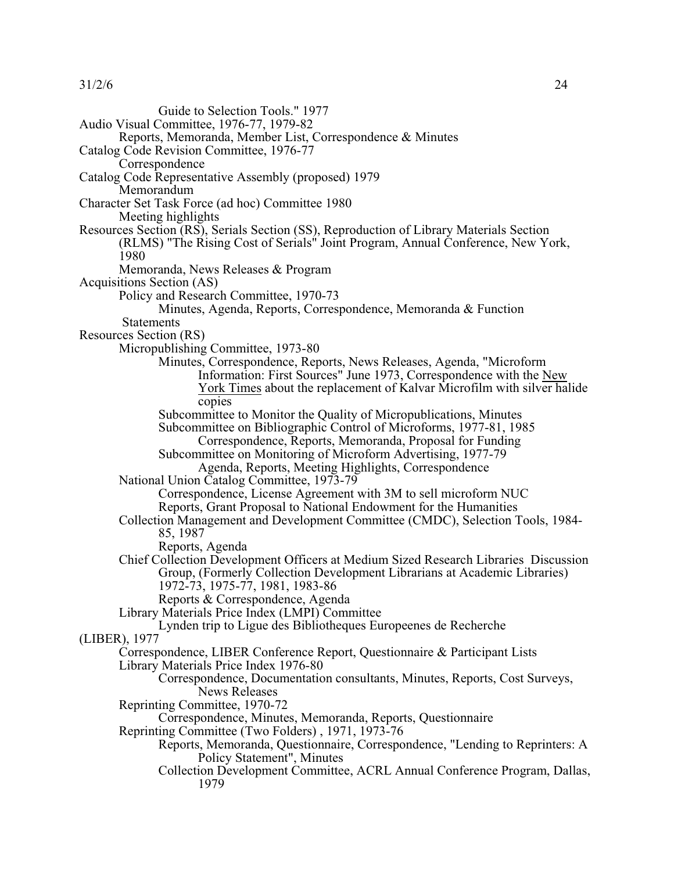| 31/2/6 | 24 |
|--------|----|
|        |    |

Guide to Selection Tools." 1977 Audio Visual Committee, 1976-77, 1979-82 Reports, Memoranda, Member List, Correspondence & Minutes Catalog Code Revision Committee, 1976-77 **Correspondence** Catalog Code Representative Assembly (proposed) 1979 Memorandum Character Set Task Force (ad hoc) Committee 1980 Meeting highlights Resources Section (RS), Serials Section (SS), Reproduction of Library Materials Section (RLMS) "The Rising Cost of Serials" Joint Program, Annual Conference, New York, 1980 Memoranda, News Releases & Program Acquisitions Section (AS) Policy and Research Committee, 1970-73 Minutes, Agenda, Reports, Correspondence, Memoranda & Function **Statements** Resources Section (RS) Micropublishing Committee, 1973-80 Minutes, Correspondence, Reports, News Releases, Agenda, "Microform Information: First Sources" June 1973, Correspondence with the New York Times about the replacement of Kalvar Microfilm with silver halide copies Subcommittee to Monitor the Quality of Micropublications, Minutes Subcommittee on Bibliographic Control of Microforms, 1977-81, 1985 Correspondence, Reports, Memoranda, Proposal for Funding Subcommittee on Monitoring of Microform Advertising, 1977-79 Agenda, Reports, Meeting Highlights, Correspondence National Union Catalog Committee, 1973-79 Correspondence, License Agreement with 3M to sell microform NUC Reports, Grant Proposal to National Endowment for the Humanities Collection Management and Development Committee (CMDC), Selection Tools, 1984- 85, 1987 Reports, Agenda Chief Collection Development Officers at Medium Sized Research Libraries Discussion Group, (Formerly Collection Development Librarians at Academic Libraries) 1972-73, 1975-77, 1981, 1983-86 Reports & Correspondence, Agenda Library Materials Price Index (LMPI) Committee Lynden trip to Ligue des Bibliotheques Europeenes de Recherche (LIBER), 1977 Correspondence, LIBER Conference Report, Questionnaire & Participant Lists Library Materials Price Index 1976-80 Correspondence, Documentation consultants, Minutes, Reports, Cost Surveys, News Releases Reprinting Committee, 1970-72 Correspondence, Minutes, Memoranda, Reports, Questionnaire Reprinting Committee (Two Folders) , 1971, 1973-76 Reports, Memoranda, Questionnaire, Correspondence, "Lending to Reprinters: A Policy Statement", Minutes Collection Development Committee, ACRL Annual Conference Program, Dallas, 1979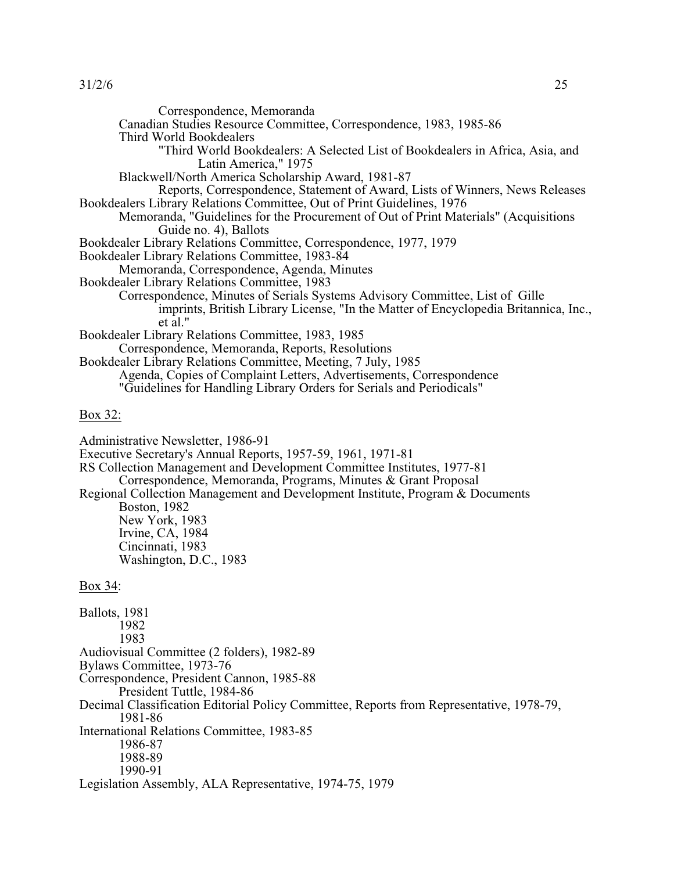| Correspondence, Memoranda<br>Canadian Studies Resource Committee, Correspondence, 1983, 1985-86                                                                                                                                                                                                                                                                                                                                    |
|------------------------------------------------------------------------------------------------------------------------------------------------------------------------------------------------------------------------------------------------------------------------------------------------------------------------------------------------------------------------------------------------------------------------------------|
| Third World Bookdealers<br>"Third World Bookdealers: A Selected List of Bookdealers in Africa, Asia, and                                                                                                                                                                                                                                                                                                                           |
| Latin America," 1975<br>Blackwell/North America Scholarship Award, 1981-87<br>Reports, Correspondence, Statement of Award, Lists of Winners, News Releases                                                                                                                                                                                                                                                                         |
| Bookdealers Library Relations Committee, Out of Print Guidelines, 1976<br>Memoranda, "Guidelines for the Procurement of Out of Print Materials" (Acquisitions                                                                                                                                                                                                                                                                      |
| Guide no. 4), Ballots<br>Bookdealer Library Relations Committee, Correspondence, 1977, 1979                                                                                                                                                                                                                                                                                                                                        |
| Bookdealer Library Relations Committee, 1983-84                                                                                                                                                                                                                                                                                                                                                                                    |
| Memoranda, Correspondence, Agenda, Minutes                                                                                                                                                                                                                                                                                                                                                                                         |
| Bookdealer Library Relations Committee, 1983                                                                                                                                                                                                                                                                                                                                                                                       |
| Correspondence, Minutes of Serials Systems Advisory Committee, List of Gille<br>imprints, British Library License, "In the Matter of Encyclopedia Britannica, Inc.,<br>et al."                                                                                                                                                                                                                                                     |
| Bookdealer Library Relations Committee, 1983, 1985                                                                                                                                                                                                                                                                                                                                                                                 |
| Correspondence, Memoranda, Reports, Resolutions                                                                                                                                                                                                                                                                                                                                                                                    |
| Bookdealer Library Relations Committee, Meeting, 7 July, 1985                                                                                                                                                                                                                                                                                                                                                                      |
| Agenda, Copies of Complaint Letters, Advertisements, Correspondence<br>"Guidelines for Handling Library Orders for Serials and Periodicals"                                                                                                                                                                                                                                                                                        |
| Box 32:                                                                                                                                                                                                                                                                                                                                                                                                                            |
| Administrative Newsletter, 1986-91<br>Executive Secretary's Annual Reports, 1957-59, 1961, 1971-81<br>RS Collection Management and Development Committee Institutes, 1977-81<br>Correspondence, Memoranda, Programs, Minutes & Grant Proposal<br>Regional Collection Management and Development Institute, Program & Documents<br>Boston, 1982<br>New York, 1983<br>Irvine, CA, 1984<br>Cincinnati, 1983<br>Washington, D.C., 1983 |
| Box 34:                                                                                                                                                                                                                                                                                                                                                                                                                            |
| Ballots, 1981<br>1982<br>1983                                                                                                                                                                                                                                                                                                                                                                                                      |
| Audiovisual Committee (2 folders), 1982-89                                                                                                                                                                                                                                                                                                                                                                                         |
| Bylaws Committee, 1973-76                                                                                                                                                                                                                                                                                                                                                                                                          |
| Correspondence, President Cannon, 1985-88                                                                                                                                                                                                                                                                                                                                                                                          |
| President Tuttle, 1984-86<br>Decimal Classification Editorial Policy Committee, Reports from Representative, 1978-79,<br>1981-86                                                                                                                                                                                                                                                                                                   |
| International Relations Committee, 1983-85<br>1986-87<br>1988-89                                                                                                                                                                                                                                                                                                                                                                   |
| 1990-91                                                                                                                                                                                                                                                                                                                                                                                                                            |
| Legislation Assembly, ALA Representative, 1974-75, 1979                                                                                                                                                                                                                                                                                                                                                                            |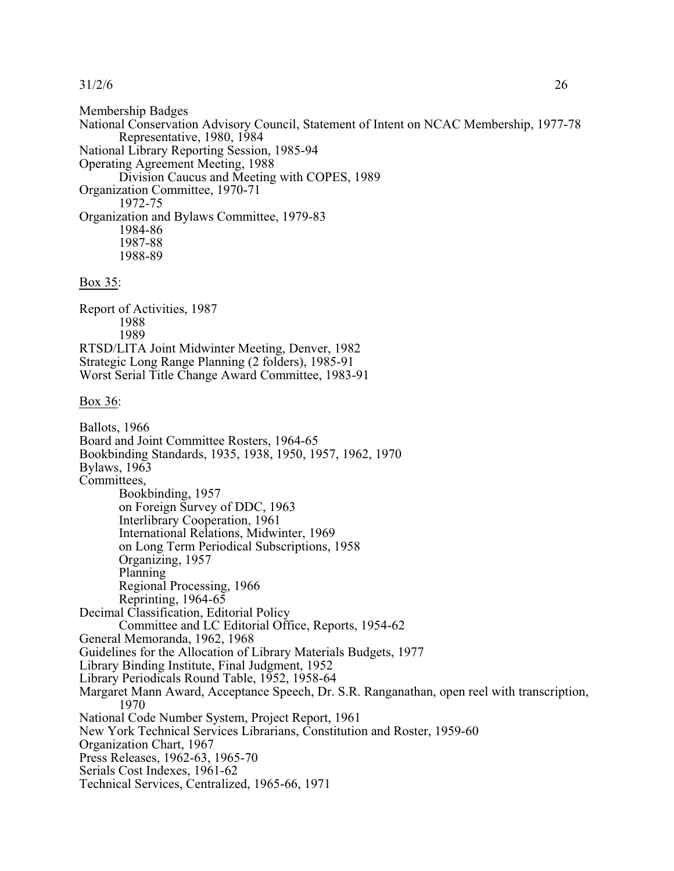Membership Badges National Conservation Advisory Council, Statement of Intent on NCAC Membership, 1977-78 Representative, 1980, 1984 National Library Reporting Session, 1985-94 Operating Agreement Meeting, 1988 Division Caucus and Meeting with COPES, 1989 Organization Committee, 1970-71 1972-75 Organization and Bylaws Committee, 1979-83 1984-86 1987-88 1988-89

#### Box 35:

Report of Activities, 1987 1988 1989 RTSD/LITA Joint Midwinter Meeting, Denver, 1982 Strategic Long Range Planning (2 folders), 1985-91 Worst Serial Title Change Award Committee, 1983-91

Box 36:

Ballots, 1966 Board and Joint Committee Rosters, 1964-65 Bookbinding Standards, 1935, 1938, 1950, 1957, 1962, 1970 Bylaws, 1963 Committees, Bookbinding, 1957 on Foreign Survey of DDC, 1963 Interlibrary Cooperation, 1961 International Relations, Midwinter, 1969 on Long Term Periodical Subscriptions, 1958 Organizing, 1957 Planning Regional Processing, 1966 Reprinting, 1964-65 Decimal Classification, Editorial Policy Committee and LC Editorial Office, Reports, 1954-62 General Memoranda, 1962, 1968 Guidelines for the Allocation of Library Materials Budgets, 1977 Library Binding Institute, Final Judgment, 1952 Library Periodicals Round Table, 1952, 1958-64 Margaret Mann Award, Acceptance Speech, Dr. S.R. Ranganathan, open reel with transcription, 1970 National Code Number System, Project Report, 1961 New York Technical Services Librarians, Constitution and Roster, 1959-60 Organization Chart, 1967 Press Releases, 1962-63, 1965-70 Serials Cost Indexes, 1961-62 Technical Services, Centralized, 1965-66, 1971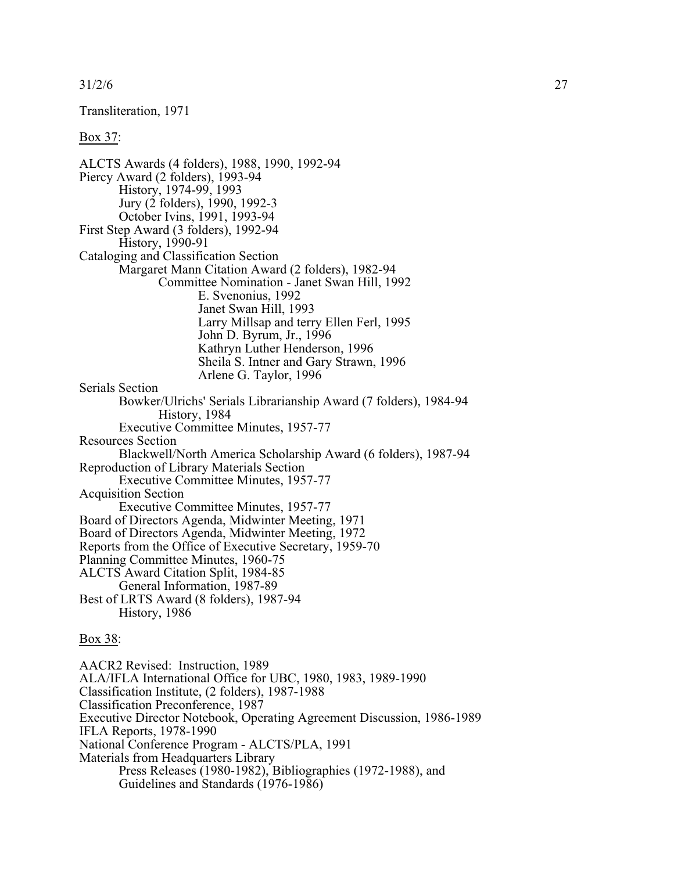Transliteration, 1971

Box 37:

ALCTS Awards (4 folders), 1988, 1990, 1992-94 Piercy Award (2 folders), 1993-94 History, 1974-99, 1993 Jury (2 folders), 1990, 1992-3 October Ivins, 1991, 1993-94 First Step Award (3 folders), 1992-94 History, 1990-91 Cataloging and Classification Section Margaret Mann Citation Award (2 folders), 1982-94 Committee Nomination - Janet Swan Hill, 1992 E. Svenonius, 1992 Janet Swan Hill, 1993 Larry Millsap and terry Ellen Ferl, 1995 John D. Byrum, Jr., 1996 Kathryn Luther Henderson, 1996 Sheila S. Intner and Gary Strawn, 1996 Arlene G. Taylor, 1996 Serials Section Bowker/Ulrichs' Serials Librarianship Award (7 folders), 1984-94 History, 1984 Executive Committee Minutes, 1957-77 Resources Section Blackwell/North America Scholarship Award (6 folders), 1987-94 Reproduction of Library Materials Section Executive Committee Minutes, 1957-77 Acquisition Section Executive Committee Minutes, 1957-77 Board of Directors Agenda, Midwinter Meeting, 1971 Board of Directors Agenda, Midwinter Meeting, 1972 Reports from the Office of Executive Secretary, 1959-70 Planning Committee Minutes, 1960-75 ALCTS Award Citation Split, 1984-85 General Information, 1987-89 Best of LRTS Award (8 folders), 1987-94 History, 1986 Box 38:

AACR2 Revised: Instruction, 1989 ALA/IFLA International Office for UBC, 1980, 1983, 1989-1990 Classification Institute, (2 folders), 1987-1988 Classification Preconference, 1987 Executive Director Notebook, Operating Agreement Discussion, 1986-1989 IFLA Reports, 1978-1990 National Conference Program - ALCTS/PLA, 1991 Materials from Headquarters Library Press Releases (1980-1982), Bibliographies (1972-1988), and Guidelines and Standards (1976-1986)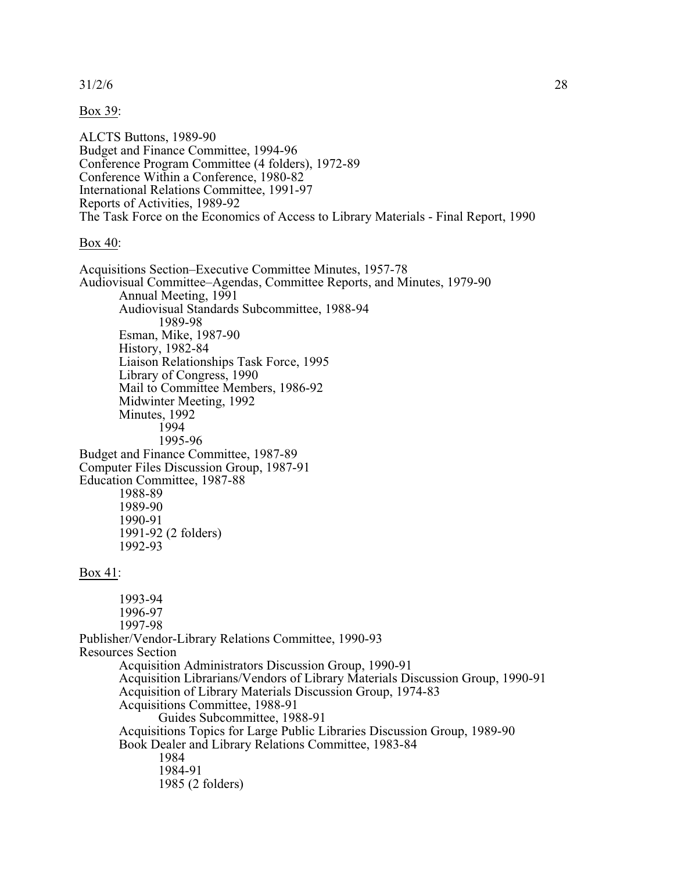Box 39:

ALCTS Buttons, 1989-90 Budget and Finance Committee, 1994-96 Conference Program Committee (4 folders), 1972-89 Conference Within a Conference, 1980-82 International Relations Committee, 1991-97 Reports of Activities, 1989-92 The Task Force on the Economics of Access to Library Materials - Final Report, 1990

Box 40:

Acquisitions Section–Executive Committee Minutes, 1957-78 Audiovisual Committee–Agendas, Committee Reports, and Minutes, 1979-90 Annual Meeting, 1991 Audiovisual Standards Subcommittee, 1988-94 1989-98 Esman, Mike, 1987-90 History, 1982-84 Liaison Relationships Task Force, 1995 Library of Congress, 1990 Mail to Committee Members, 1986-92 Midwinter Meeting, 1992 Minutes, 1992 1994 1995-96 Budget and Finance Committee, 1987-89 Computer Files Discussion Group, 1987-91 Education Committee, 1987-88 1988-89 1989-90 1990-91 1991-92 (2 folders) 1992-93 Box 41: 1993-94 1996-97 1997-98 Publisher/Vendor-Library Relations Committee, 1990-93 Resources Section Acquisition Administrators Discussion Group, 1990-91 Acquisition Librarians/Vendors of Library Materials Discussion Group, 1990-91 Acquisition of Library Materials Discussion Group, 1974-83 Acquisitions Committee, 1988-91 Guides Subcommittee, 1988-91 Acquisitions Topics for Large Public Libraries Discussion Group, 1989-90 Book Dealer and Library Relations Committee, 1983-84 1984 1984-91 1985 (2 folders)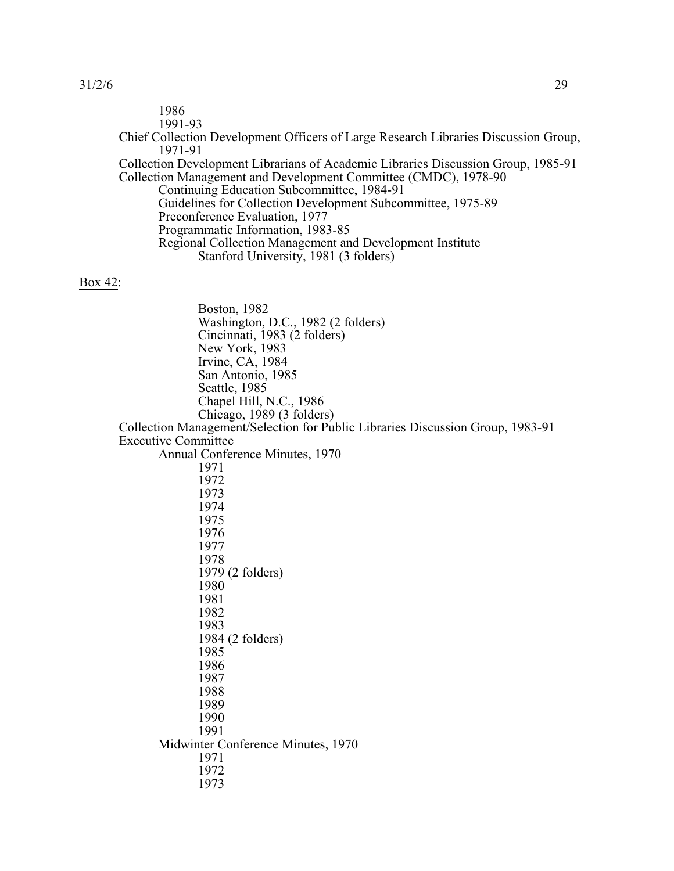| 1986<br>1991-93                                                                                                                                                                                                                                                                                                                                                                                                                                                                                                                                                   |
|-------------------------------------------------------------------------------------------------------------------------------------------------------------------------------------------------------------------------------------------------------------------------------------------------------------------------------------------------------------------------------------------------------------------------------------------------------------------------------------------------------------------------------------------------------------------|
| Chief Collection Development Officers of Large Research Libraries Discussion Group,                                                                                                                                                                                                                                                                                                                                                                                                                                                                               |
| 1971-91<br>Collection Development Librarians of Academic Libraries Discussion Group, 1985-91<br>Collection Management and Development Committee (CMDC), 1978-90<br>Continuing Education Subcommittee, 1984-91<br>Guidelines for Collection Development Subcommittee, 1975-89<br>Preconference Evaluation, 1977<br>Programmatic Information, 1983-85<br>Regional Collection Management and Development Institute<br>Stanford University, 1981 (3 folders)                                                                                                          |
| <u>Box 42:</u>                                                                                                                                                                                                                                                                                                                                                                                                                                                                                                                                                    |
| Boston, 1982<br>Washington, D.C., 1982 (2 folders)<br>Cincinnati, 1983 (2 folders)<br>New York, 1983<br>Irvine, CA, 1984<br>San Antonio, 1985<br>Seattle, 1985<br>Chapel Hill, N.C., 1986<br>Chicago, 1989 (3 folders)<br>Collection Management/Selection for Public Libraries Discussion Group, 1983-91<br><b>Executive Committee</b><br>Annual Conference Minutes, 1970<br>1971<br>1972<br>1973<br>1974<br>1975<br>1976<br>1977<br>1978<br>1979 (2 folders)<br>1980<br>1981<br>1982<br>1983<br>1984 (2 folders)<br>1985<br>1986<br>1987<br>1988<br>1989<br>1990 |
| 1991<br>Midwinter Conference Minutes, 1970                                                                                                                                                                                                                                                                                                                                                                                                                                                                                                                        |
| 1971<br>1972<br>1973                                                                                                                                                                                                                                                                                                                                                                                                                                                                                                                                              |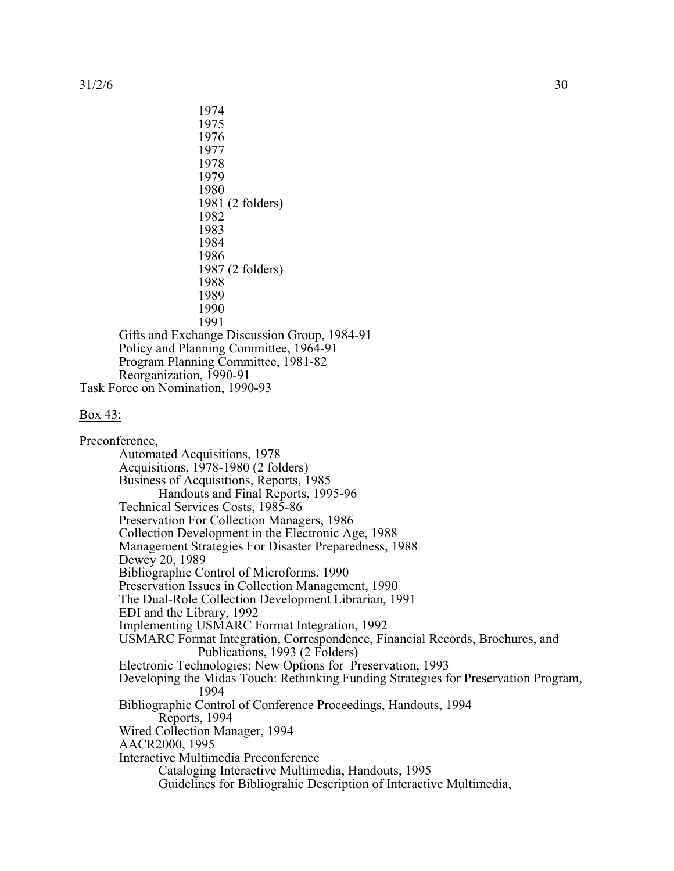1974 1975 1976 1977 1978 1979 1980 1981 (2 folders) 1982 1983 1984 1986 1987 (2 folders) 1988 1989 1990 1991 Gifts and Exchange Discussion Group, 1984-91 Policy and Planning Committee, 1964-91 Program Planning Committee, 1981-82 Reorganization, 1990-91

Task Force on Nomination, 1990-93

### Box 43:

Preconference, Automated Acquisitions, 1978 Acquisitions, 1978-1980 (2 folders) Business of Acquisitions, Reports, 1985 Handouts and Final Reports, 1995-96 Technical Services Costs, 1985-86 Preservation For Collection Managers, 1986 Collection Development in the Electronic Age, 1988 Management Strategies For Disaster Preparedness, 1988 Dewey 20, 1989 Bibliographic Control of Microforms, 1990 Preservation Issues in Collection Management, 1990 The Dual-Role Collection Development Librarian, 1991 EDI and the Library, 1992 Implementing USMARC Format Integration, 1992 USMARC Format Integration, Correspondence, Financial Records, Brochures, and Publications, 1993 (2 Folders) Electronic Technologies: New Options for Preservation, 1993 Developing the Midas Touch: Rethinking Funding Strategies for Preservation Program, 1994 Bibliographic Control of Conference Proceedings, Handouts, 1994 Reports, 1994 Wired Collection Manager, 1994 AACR2000, 1995 Interactive Multimedia Preconference Cataloging Interactive Multimedia, Handouts, 1995 Guidelines for Bibliograhic Description of Interactive Multimedia,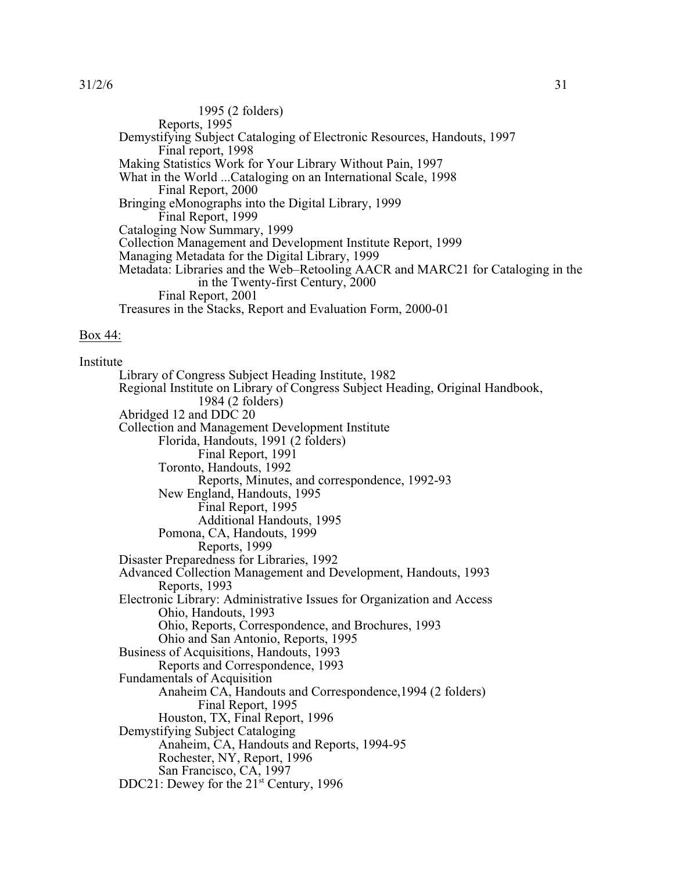1995 (2 folders) Reports, 1995 Demystifying Subject Cataloging of Electronic Resources, Handouts, 1997 Final report, 1998 Making Statistics Work for Your Library Without Pain, 1997 What in the World ...Cataloging on an International Scale, 1998 Final Report, 2000 Bringing eMonographs into the Digital Library, 1999 Final Report, 1999 Cataloging Now Summary, 1999 Collection Management and Development Institute Report, 1999 Managing Metadata for the Digital Library, 1999 Metadata: Libraries and the Web–Retooling AACR and MARC21 for Cataloging in the in the Twenty-first Century, 2000 Final Report, 2001 Treasures in the Stacks, Report and Evaluation Form, 2000-01

### Box 44:

Institute Library of Congress Subject Heading Institute, 1982 Regional Institute on Library of Congress Subject Heading, Original Handbook, 1984 (2 folders) Abridged 12 and DDC 20 Collection and Management Development Institute Florida, Handouts, 1991 (2 folders) Final Report, 1991 Toronto, Handouts, 1992 Reports, Minutes, and correspondence, 1992-93 New England, Handouts, 1995 Final Report, 1995 Additional Handouts, 1995 Pomona, CA, Handouts, 1999 Reports, 1999 Disaster Preparedness for Libraries, 1992 Advanced Collection Management and Development, Handouts, 1993 Reports, 1993 Electronic Library: Administrative Issues for Organization and Access Ohio, Handouts, 1993 Ohio, Reports, Correspondence, and Brochures, 1993 Ohio and San Antonio, Reports, 1995 Business of Acquisitions, Handouts, 1993 Reports and Correspondence, 1993 Fundamentals of Acquisition Anaheim CA, Handouts and Correspondence,1994 (2 folders) Final Report, 1995 Houston, TX, Final Report, 1996 Demystifying Subject Cataloging Anaheim, CA, Handouts and Reports, 1994-95 Rochester, NY, Report, 1996 San Francisco, CA, 1997 DDC21: Dewey for the  $21<sup>st</sup>$  Century, 1996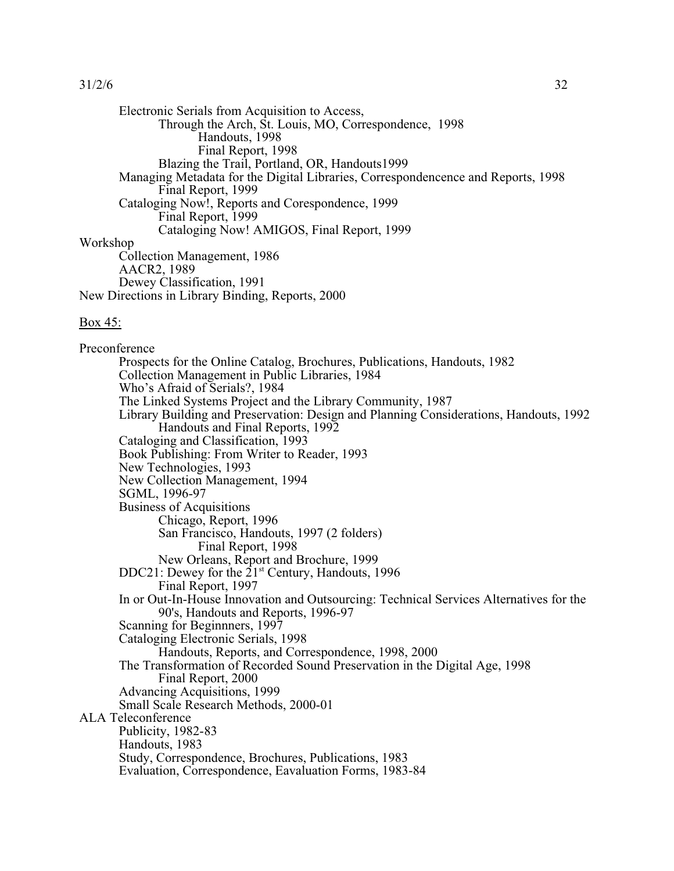Electronic Serials from Acquisition to Access, Through the Arch, St. Louis, MO, Correspondence, 1998 Handouts, 1998 Final Report, 1998 Blazing the Trail, Portland, OR, Handouts1999 Managing Metadata for the Digital Libraries, Correspondencence and Reports, 1998 Final Report, 1999 Cataloging Now!, Reports and Corespondence, 1999 Final Report, 1999 Cataloging Now! AMIGOS, Final Report, 1999 Workshop Collection Management, 1986 AACR2, 1989 Dewey Classification, 1991 New Directions in Library Binding, Reports, 2000

#### Box 45:

Preconference Prospects for the Online Catalog, Brochures, Publications, Handouts, 1982 Collection Management in Public Libraries, 1984 Who's Afraid of Serials?, 1984 The Linked Systems Project and the Library Community, 1987 Library Building and Preservation: Design and Planning Considerations, Handouts, 1992 Handouts and Final Reports, 1992 Cataloging and Classification, 1993 Book Publishing: From Writer to Reader, 1993 New Technologies, 1993 New Collection Management, 1994 SGML, 1996-97 Business of Acquisitions Chicago, Report, 1996 San Francisco, Handouts, 1997 (2 folders) Final Report, 1998 New Orleans, Report and Brochure, 1999 DDC21: Dewey for the  $21<sup>st</sup>$  Century, Handouts, 1996 Final Report, 1997 In or Out-In-House Innovation and Outsourcing: Technical Services Alternatives for the 90's, Handouts and Reports, 1996-97 Scanning for Beginnners, 1997 Cataloging Electronic Serials, 1998 Handouts, Reports, and Correspondence, 1998, 2000 The Transformation of Recorded Sound Preservation in the Digital Age, 1998 Final Report, 2000 Advancing Acquisitions, 1999 Small Scale Research Methods, 2000-01 ALA Teleconference Publicity, 1982-83 Handouts, 1983 Study, Correspondence, Brochures, Publications, 1983 Evaluation, Correspondence, Eavaluation Forms, 1983-84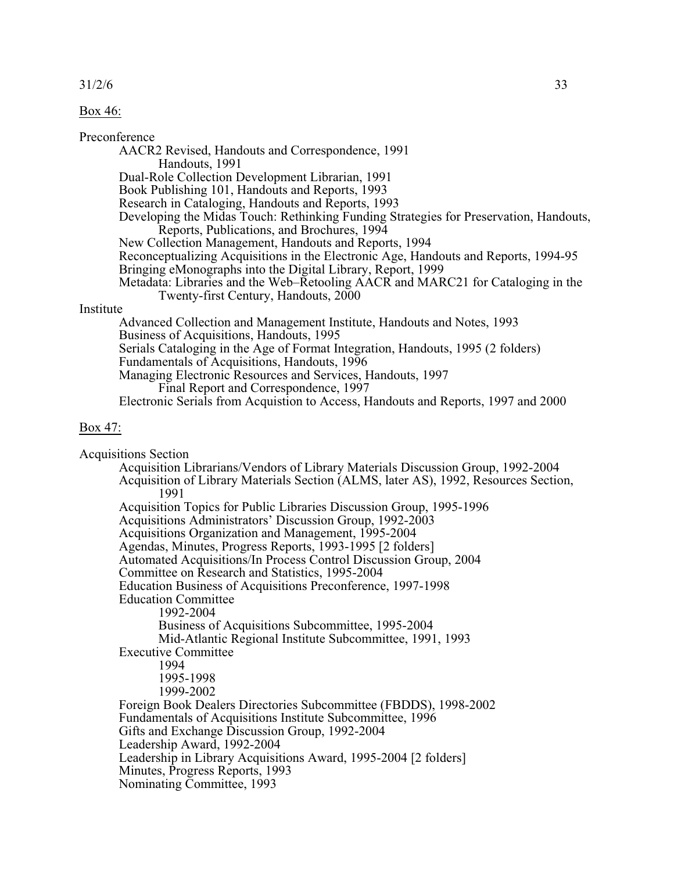### Box 46:

#### Preconference

AACR2 Revised, Handouts and Correspondence, 1991 Handouts, 1991 Dual-Role Collection Development Librarian, 1991 Book Publishing 101, Handouts and Reports, 1993 Research in Cataloging, Handouts and Reports, 1993 Developing the Midas Touch: Rethinking Funding Strategies for Preservation, Handouts, Reports, Publications, and Brochures, 1994 New Collection Management, Handouts and Reports, 1994 Reconceptualizing Acquisitions in the Electronic Age, Handouts and Reports, 1994-95 Bringing eMonographs into the Digital Library, Report, 1999 Metadata: Libraries and the Web–Retooling AACR and MARC21 for Cataloging in the Twenty-first Century, Handouts, 2000 Institute Advanced Collection and Management Institute, Handouts and Notes, 1993 Business of Acquisitions, Handouts, 1995 Serials Cataloging in the Age of Format Integration, Handouts, 1995 (2 folders) Fundamentals of Acquisitions, Handouts, 1996 Managing Electronic Resources and Services, Handouts, 1997 Final Report and Correspondence, 1997

Electronic Serials from Acquistion to Access, Handouts and Reports, 1997 and 2000

### Box 47:

Acquisitions Section Acquisition Librarians/Vendors of Library Materials Discussion Group, 1992-2004 Acquisition of Library Materials Section (ALMS, later AS), 1992, Resources Section, 1991 Acquisition Topics for Public Libraries Discussion Group, 1995-1996 Acquisitions Administrators' Discussion Group, 1992-2003 Acquisitions Organization and Management, 1995-2004 Agendas, Minutes, Progress Reports, 1993-1995 [2 folders] Automated Acquisitions/In Process Control Discussion Group, 2004 Committee on Research and Statistics, 1995-2004 Education Business of Acquisitions Preconference, 1997-1998 Education Committee 1992-2004 Business of Acquisitions Subcommittee, 1995-2004 Mid-Atlantic Regional Institute Subcommittee, 1991, 1993 Executive Committee 1994 1995-1998 1999-2002 Foreign Book Dealers Directories Subcommittee (FBDDS), 1998-2002 Fundamentals of Acquisitions Institute Subcommittee, 1996 Gifts and Exchange Discussion Group, 1992-2004 Leadership Award, 1992-2004 Leadership in Library Acquisitions Award, 1995-2004 [2 folders] Minutes, Progress Reports, 1993 Nominating Committee, 1993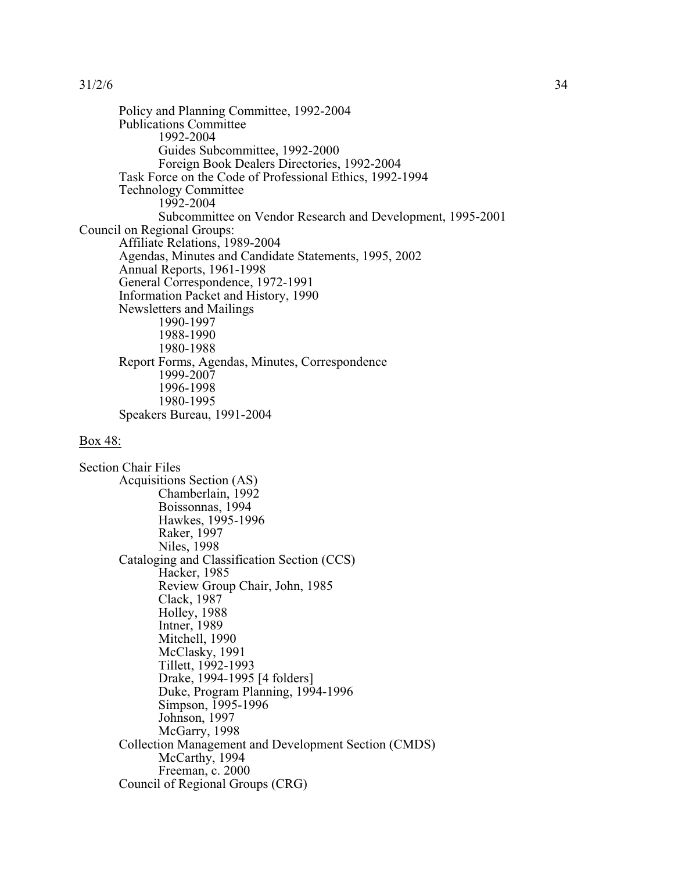Policy and Planning Committee, 1992-2004 Publications Committee 1992-2004 Guides Subcommittee, 1992-2000 Foreign Book Dealers Directories, 1992-2004 Task Force on the Code of Professional Ethics, 1992-1994 Technology Committee 1992-2004 Subcommittee on Vendor Research and Development, 1995-2001 Council on Regional Groups: Affiliate Relations, 1989-2004 Agendas, Minutes and Candidate Statements, 1995, 2002 Annual Reports, 1961-1998 General Correspondence, 1972-1991 Information Packet and History, 1990 Newsletters and Mailings 1990-1997 1988-1990 1980-1988 Report Forms, Agendas, Minutes, Correspondence 1999-2007 1996-1998 1980-1995 Speakers Bureau, 1991-2004

### Box 48:

Section Chair Files Acquisitions Section (AS) Chamberlain, 1992 Boissonnas, 1994 Hawkes, 1995-1996 Raker, 1997 Niles, 1998 Cataloging and Classification Section (CCS) Hacker, 1985 Review Group Chair, John, 1985 Clack, 1987 Holley, 1988 Intner, 1989 Mitchell, 1990 McClasky, 1991 Tillett, 1992-1993 Drake, 1994-1995 [4 folders] Duke, Program Planning, 1994-1996 Simpson, 1995-1996 Johnson, 1997 McGarry, 1998 Collection Management and Development Section (CMDS) McCarthy, 1994 Freeman, c. 2000 Council of Regional Groups (CRG)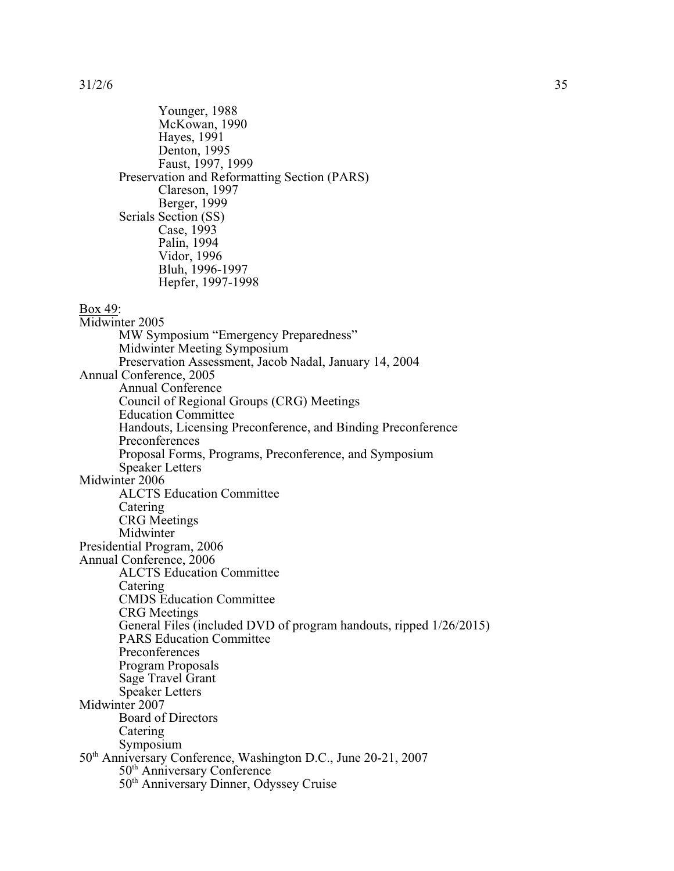Younger, 1988 McKowan, 1990 Hayes, 1991 Denton, 1995 Faust, 1997, 1999 Preservation and Reformatting Section (PARS) Clareson, 1997 Berger, 1999 Serials Section (SS) Case, 1993 Palin, 1994 Vidor, 1996 Bluh, 1996-1997 Hepfer, 1997-1998

## Box 49:

Midwinter 2005 MW Symposium "Emergency Preparedness" Midwinter Meeting Symposium Preservation Assessment, Jacob Nadal, January 14, 2004 Annual Conference, 2005 Annual Conference Council of Regional Groups (CRG) Meetings Education Committee Handouts, Licensing Preconference, and Binding Preconference Preconferences Proposal Forms, Programs, Preconference, and Symposium Speaker Letters Midwinter 2006 ALCTS Education Committee Catering CRG Meetings Midwinter Presidential Program, 2006 Annual Conference, 2006 ALCTS Education Committee Catering CMDS Education Committee CRG Meetings General Files (included DVD of program handouts, ripped 1/26/2015) PARS Education Committee Preconferences Program Proposals Sage Travel Grant Speaker Letters Midwinter 2007 Board of Directors **Catering** Symposium 50<sup>th</sup> Anniversary Conference, Washington D.C., June 20-21, 2007 50<sup>th</sup> Anniversary Conference 50<sup>th</sup> Anniversary Dinner, Odyssey Cruise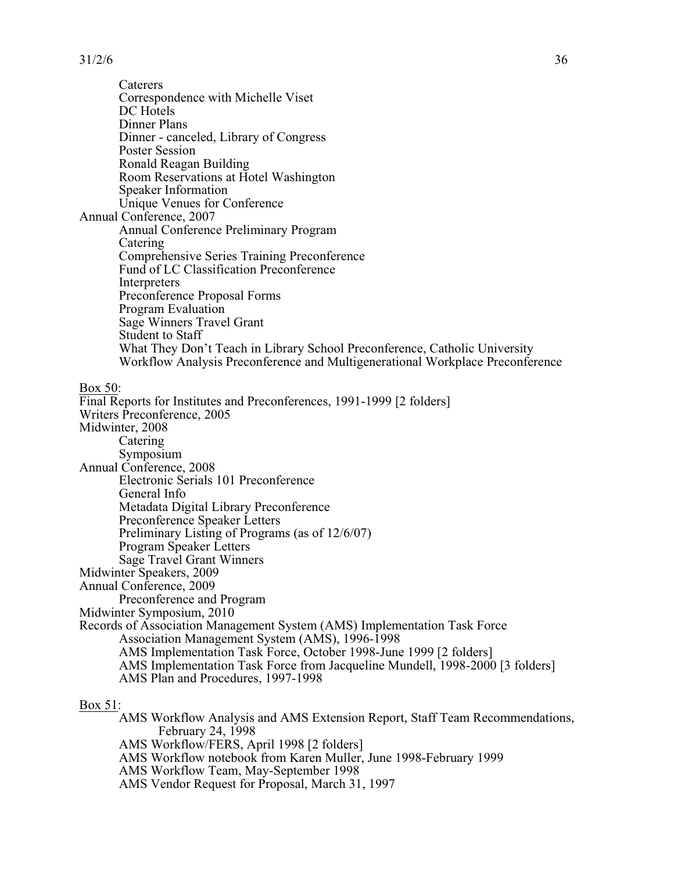Caterers Correspondence with Michelle Viset DC Hotels Dinner Plans Dinner - canceled, Library of Congress Poster Session Ronald Reagan Building Room Reservations at Hotel Washington Speaker Information Unique Venues for Conference Annual Conference, 2007 Annual Conference Preliminary Program Catering Comprehensive Series Training Preconference Fund of LC Classification Preconference Interpreters Preconference Proposal Forms Program Evaluation Sage Winners Travel Grant Student to Staff What They Don't Teach in Library School Preconference, Catholic University Workflow Analysis Preconference and Multigenerational Workplace Preconference Box 50: Final Reports for Institutes and Preconferences, 1991-1999 [2 folders] Writers Preconference, 2005 Midwinter, 2008 Catering Symposium Annual Conference, 2008 Electronic Serials 101 Preconference

General Info

Metadata Digital Library Preconference

Preconference Speaker Letters

Preliminary Listing of Programs (as of 12/6/07)

Program Speaker Letters

Sage Travel Grant Winners

Midwinter Speakers, 2009

Annual Conference, 2009

Preconference and Program

Midwinter Symposium, 2010

Records of Association Management System (AMS) Implementation Task Force Association Management System (AMS), 1996-1998

AMS Implementation Task Force, October 1998-June 1999 [2 folders]

AMS Implementation Task Force from Jacqueline Mundell, 1998-2000 [3 folders]

AMS Plan and Procedures, 1997-1998

Box 51:

AMS Workflow Analysis and AMS Extension Report, Staff Team Recommendations, February 24, 1998

AMS Workflow/FERS, April 1998 [2 folders]

AMS Workflow notebook from Karen Muller, June 1998-February 1999

AMS Workflow Team, May-September 1998

AMS Vendor Request for Proposal, March 31, 1997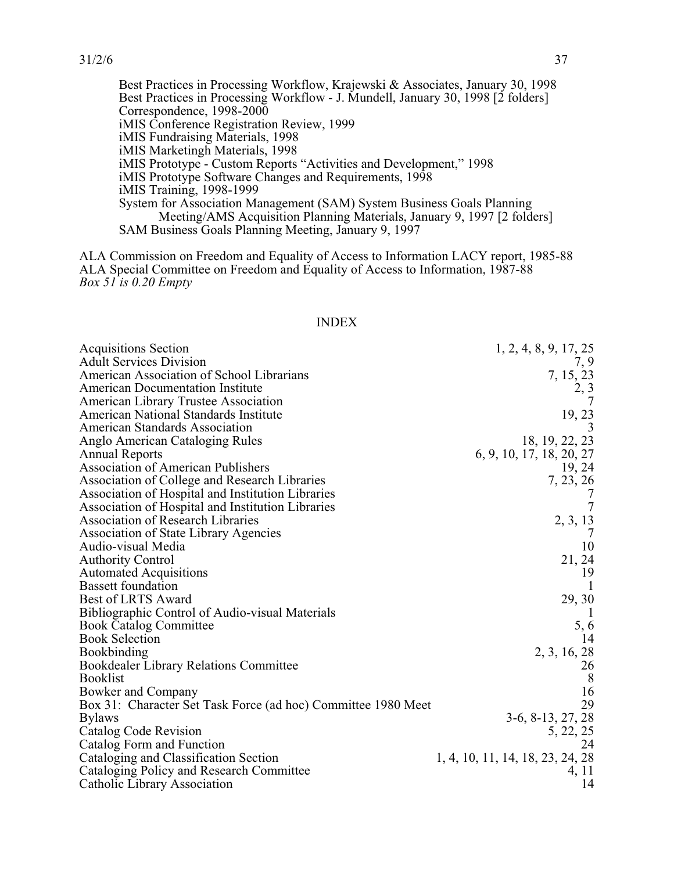Best Practices in Processing Workflow, Krajewski & Associates, January 30, 1998 Best Practices in Processing Workflow - J. Mundell, January 30, 1998 [2 folders] Correspondence, 1998-2000 iMIS Conference Registration Review, 1999 iMIS Fundraising Materials, 1998 iMIS Marketingh Materials, 1998 iMIS Prototype - Custom Reports "Activities and Development," 1998 iMIS Prototype Software Changes and Requirements, 1998 iMIS Training, 1998-1999 System for Association Management (SAM) System Business Goals Planning Meeting/AMS Acquisition Planning Materials, January 9, 1997 [2 folders] SAM Business Goals Planning Meeting, January 9, 1997

ALA Commission on Freedom and Equality of Access to Information LACY report, 1985-88 ALA Special Committee on Freedom and Equality of Access to Information, 1987-88 *Box 51 is 0.20 Empty*

#### INDEX

| <b>Acquisitions Section</b>                                   | 1, 2, 4, 8, 9, 17, 25            |
|---------------------------------------------------------------|----------------------------------|
| <b>Adult Services Division</b>                                | 7, 9                             |
| American Association of School Librarians                     | 7, 15, 23                        |
| <b>American Documentation Institute</b>                       | 2, 3                             |
| American Library Trustee Association                          |                                  |
| American National Standards Institute                         | 19, 23                           |
| <b>American Standards Association</b>                         |                                  |
| Anglo American Cataloging Rules                               | 18, 19, 22, 23                   |
| <b>Annual Reports</b>                                         | 6, 9, 10, 17, 18, 20, 27         |
| <b>Association of American Publishers</b>                     | 19, 24                           |
| Association of College and Research Libraries                 | 7, 23, 26                        |
| Association of Hospital and Institution Libraries             |                                  |
| Association of Hospital and Institution Libraries             |                                  |
| <b>Association of Research Libraries</b>                      |                                  |
| <b>Association of State Library Agencies</b>                  | 2, 3, 13                         |
| Audio-visual Media                                            | 10                               |
| <b>Authority Control</b>                                      | 21, 24                           |
| <b>Automated Acquisitions</b>                                 | 19                               |
| <b>Bassett</b> foundation                                     |                                  |
| Best of LRTS Award                                            | 29, 30                           |
| Bibliographic Control of Audio-visual Materials               |                                  |
| <b>Book Catalog Committee</b>                                 | 5,6                              |
| <b>Book Selection</b>                                         | 14                               |
| <b>Bookbinding</b>                                            | 2, 3, 16, 28                     |
| <b>Bookdealer Library Relations Committee</b>                 | 26                               |
| <b>Booklist</b>                                               | $8\phantom{.0}$                  |
| Bowker and Company                                            | 16                               |
| Box 31: Character Set Task Force (ad hoc) Committee 1980 Meet | 29                               |
| <b>Bylaws</b>                                                 | 3-6, 8-13, 27, 28                |
| Catalog Code Revision                                         | 5, 22, 25                        |
| Catalog Form and Function                                     | 24                               |
| Cataloging and Classification Section                         | 1, 4, 10, 11, 14, 18, 23, 24, 28 |
| Cataloging Policy and Research Committee                      | 4, 11                            |
| Catholic Library Association                                  | 14                               |
|                                                               |                                  |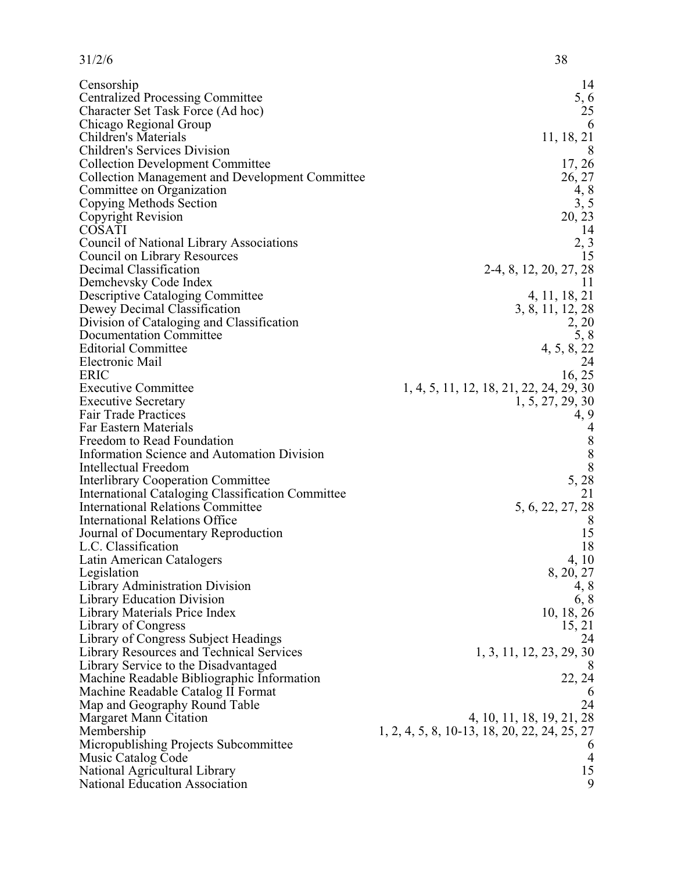| 31/2/6                                                                           | 38                                           |
|----------------------------------------------------------------------------------|----------------------------------------------|
| Censorship                                                                       | 14                                           |
| <b>Centralized Processing Committee</b>                                          | 5, 6                                         |
| Character Set Task Force (Ad hoc)                                                | 25                                           |
| Chicago Regional Group                                                           | 6                                            |
| Children's Materials                                                             | 11, 18, 21                                   |
| Children's Services Division                                                     | 8                                            |
| <b>Collection Development Committee</b>                                          | 17, 26                                       |
| <b>Collection Management and Development Committee</b>                           | 26, 27                                       |
| Committee on Organization                                                        | 4, 8                                         |
| Copying Methods Section                                                          | 3, 5                                         |
| Copyright Revision                                                               | 20, 23                                       |
| <b>COSATI</b>                                                                    | 14                                           |
| <b>Council of National Library Associations</b>                                  | $2, 3$<br>15                                 |
| Council on Library Resources                                                     |                                              |
| Decimal Classification                                                           | 2-4, 8, 12, 20, 27, 28                       |
| Demchevsky Code Index                                                            | 11                                           |
| <b>Descriptive Cataloging Committee</b>                                          | 4, 11, 18, 21                                |
| Dewey Decimal Classification                                                     | 3, 8, 11, 12, 28                             |
| Division of Cataloging and Classification                                        | 2, 20                                        |
| Documentation Committee                                                          | 5, 8                                         |
| <b>Editorial Committee</b><br>Electronic Mail                                    | 4, 5, 8, 22<br>24                            |
| <b>ERIC</b>                                                                      | 16, 25                                       |
| <b>Executive Committee</b>                                                       | 1, 4, 5, 11, 12, 18, 21, 22, 24, 29, 30      |
| <b>Executive Secretary</b>                                                       | 1, 5, 27, 29, 30                             |
| <b>Fair Trade Practices</b>                                                      | 4, 9                                         |
| Far Eastern Materials                                                            |                                              |
| Freedom to Read Foundation                                                       |                                              |
| <b>Information Science and Automation Division</b>                               | $\begin{array}{c} 8 \\ 8 \\ 8 \end{array}$   |
| Intellectual Freedom                                                             |                                              |
| <b>Interlibrary Cooperation Committee</b>                                        | 5, 28                                        |
| <b>International Cataloging Classification Committee</b>                         | 21                                           |
| <b>International Relations Committee</b>                                         | 5, 6, 22, 27, 28                             |
| <b>International Relations Office</b>                                            | 8                                            |
| Journal of Documentary Reproduction                                              | 15                                           |
| L.C. Classification                                                              | 18                                           |
| Latin American Catalogers                                                        | 4, 10                                        |
| Legislation                                                                      | 8, 20, 27                                    |
| Library Administration Division                                                  | 4, 8                                         |
| Library Education Division                                                       | 6, 8                                         |
| Library Materials Price Index                                                    | 10, 18, 26                                   |
| Library of Congress                                                              | 15, 21                                       |
| Library of Congress Subject Headings                                             | 24                                           |
| Library Resources and Technical Services<br>Library Service to the Disadvantaged | 1, 3, 11, 12, 23, 29, 30                     |
| Machine Readable Bibliographic Information                                       | 22, 24                                       |
| Machine Readable Catalog II Format                                               | 6                                            |
| Map and Geography Round Table                                                    | 24                                           |
| Margaret Mann Citation                                                           | 4, 10, 11, 18, 19, 21, 28                    |
| Membership                                                                       | 1, 2, 4, 5, 8, 10-13, 18, 20, 22, 24, 25, 27 |
| Micropublishing Projects Subcommittee                                            | 6                                            |
| Music Catalog Code                                                               | $\overline{4}$                               |
| National Agricultural Library                                                    | 15                                           |
| <b>National Education Association</b>                                            | 9                                            |
|                                                                                  |                                              |